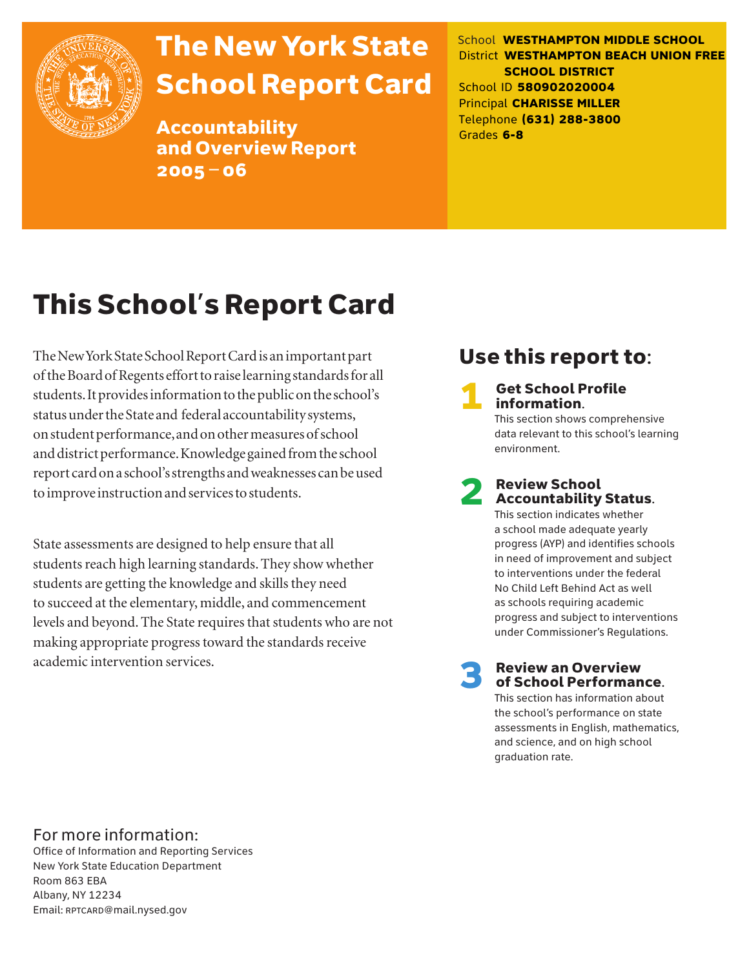

# The New York State School Report Card

Accountability and Overview Report 2005–06

School **WESTHAMPTON MIDDLE SCHOOL** District **WESTHAMPTON BEACH UNION FREE SCHOOL DISTRICT** School ID **580902020004** Principal **CHARISSE MILLER** Telephone **(631) 288-3800** Grades **6-8**

# This School's Report Card

The New York State School Report Card is an important part of the Board of Regents effort to raise learning standards for all students. It provides information to the public on the school's status under the State and federal accountability systems, on student performance, and on other measures of school and district performance. Knowledge gained from the school report card on a school's strengths and weaknesses can be used to improve instruction and services to students.

State assessments are designed to help ensure that all students reach high learning standards. They show whether students are getting the knowledge and skills they need to succeed at the elementary, middle, and commencement levels and beyond. The State requires that students who are not making appropriate progress toward the standards receive academic intervention services.

# Use this report to:

**Get School Profile** information. This section shows comprehensive

data relevant to this school's learning environment.

# 2 Review School Accountability Status.

This section indicates whether a school made adequate yearly progress (AYP) and identifies schools in need of improvement and subject to interventions under the federal No Child Left Behind Act as well as schools requiring academic progress and subject to interventions under Commissioner's Regulations.

**Review an Overview** of School Performance.

This section has information about the school's performance on state assessments in English, mathematics, and science, and on high school graduation rate.

### For more information:

Office of Information and Reporting Services New York State Education Department Room 863 EBA Albany, NY 12234 Email: RPTCARD@mail.nysed.gov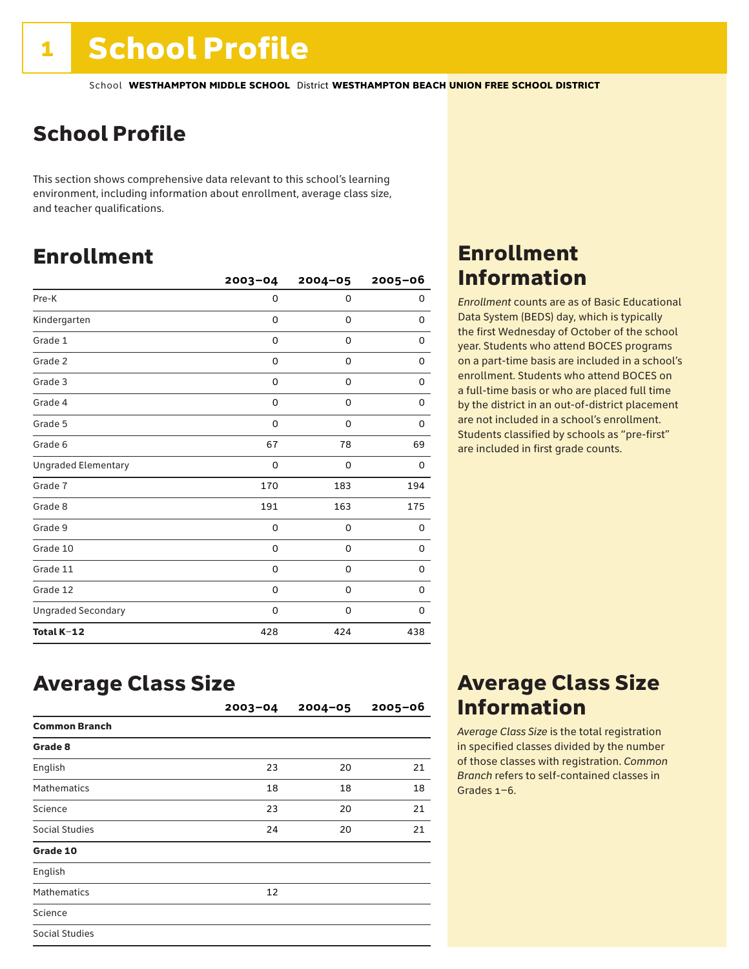# School Profile

This section shows comprehensive data relevant to this school's learning environment, including information about enrollment, average class size, and teacher qualifications.

# Enrollment

|                            | $2003 - 04$ | $2004 - 05$ | 2005-06     |
|----------------------------|-------------|-------------|-------------|
| Pre-K                      | 0           | $\mathbf 0$ | 0           |
| Kindergarten               | 0           | 0           | 0           |
| Grade 1                    | 0           | 0           | 0           |
| Grade 2                    | 0           | 0           | 0           |
| Grade 3                    | 0           | 0           | 0           |
| Grade 4                    | 0           | 0           | 0           |
| Grade 5                    | 0           | 0           | 0           |
| Grade 6                    | 67          | 78          | 69          |
| <b>Ungraded Elementary</b> | 0           | 0           | 0           |
| Grade 7                    | 170         | 183         | 194         |
| Grade 8                    | 191         | 163         | 175         |
| Grade 9                    | 0           | 0           | 0           |
| Grade 10                   | 0           | 0           | 0           |
| Grade 11                   | 0           | 0           | 0           |
| Grade 12                   | 0           | 0           | $\mathbf 0$ |
| <b>Ungraded Secondary</b>  | 0           | 0           | 0           |
| Total K-12                 | 428         | 424         | 438         |

### Enrollment Information

*Enrollment* counts are as of Basic Educational Data System (BEDS) day, which is typically the first Wednesday of October of the school year. Students who attend BOCES programs on a part-time basis are included in a school's enrollment. Students who attend BOCES on a full-time basis or who are placed full time by the district in an out-of-district placement are not included in a school's enrollment. Students classified by schools as "pre-first" are included in first grade counts.

### Average Class Size

|                      | $2003 - 04$ | $2004 - 05$ | $2005 - 06$ |
|----------------------|-------------|-------------|-------------|
| <b>Common Branch</b> |             |             |             |
| Grade 8              |             |             |             |
| English              | 23          | 20          | 21          |
| <b>Mathematics</b>   | 18          | 18          | 18          |
| Science              | 23          | 20          | 21          |
| Social Studies       | 24          | 20          | 21          |
| Grade 10             |             |             |             |
| English              |             |             |             |
| <b>Mathematics</b>   | 12          |             |             |
| Science              |             |             |             |
| Social Studies       |             |             |             |

### Average Class Size Information

*Average Class Size* is the total registration in specified classes divided by the number of those classes with registration. *Common Branch* refers to self-contained classes in Grades 1–6.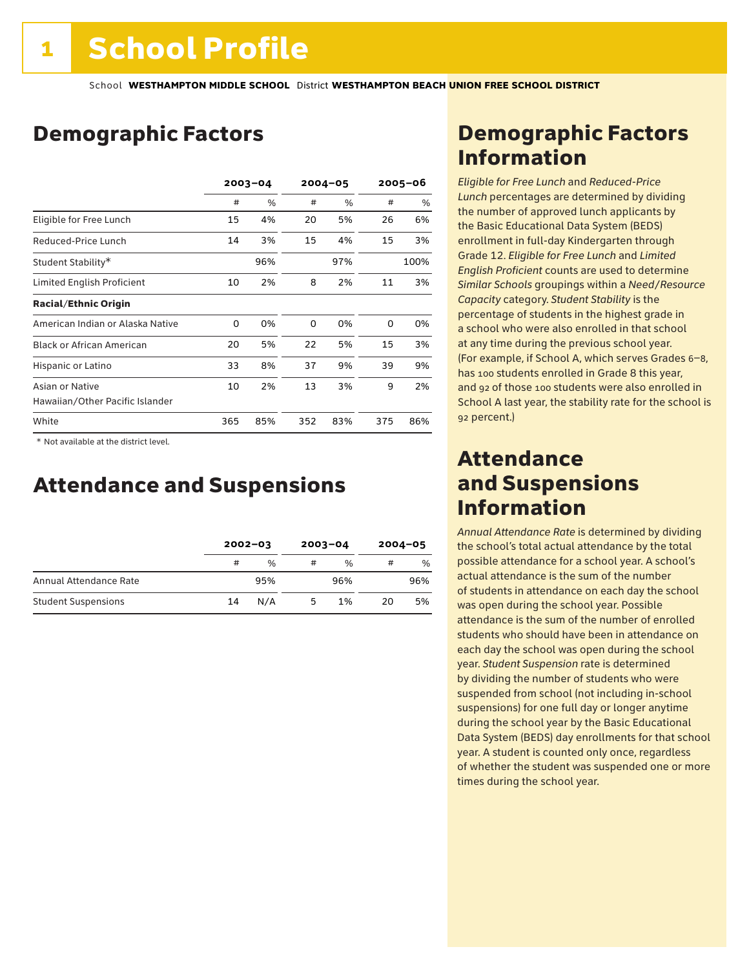# Demographic Factors

|                                  | $2003 - 04$ |      |     | $2004 - 05$ | $2005 - 06$ |      |
|----------------------------------|-------------|------|-----|-------------|-------------|------|
|                                  | #           | $\%$ | #   | $\%$        | #           | %    |
| Eligible for Free Lunch          | 15          | 4%   | 20  | 5%          | 26          | 6%   |
| Reduced-Price Lunch              | 14          | 3%   | 15  | 4%          | 15          | 3%   |
| Student Stability*               |             | 96%  |     | 97%         |             | 100% |
| Limited English Proficient       | 10          | 2%   | 8   | 2%          | 11          | 3%   |
| <b>Racial/Ethnic Origin</b>      |             |      |     |             |             |      |
| American Indian or Alaska Native | 0           | 0%   | 0   | 0%          | 0           | 0%   |
| <b>Black or African American</b> | 20          | 5%   | 22  | 5%          | 15          | 3%   |
| Hispanic or Latino               | 33          | 8%   | 37  | 9%          | 39          | 9%   |
| Asian or Native                  | 10          | 2%   | 13  | 3%          | 9           | 2%   |
| Hawaiian/Other Pacific Islander  |             |      |     |             |             |      |
| White                            | 365         | 85%  | 352 | 83%         | 375         | 86%  |

 \* Not available at the district level.

### Attendance and Suspensions

|                            |    | $2002 - 03$ |   | $2003 - 04$   |    | $2004 - 05$ |
|----------------------------|----|-------------|---|---------------|----|-------------|
|                            | #  | $\%$        | # | $\frac{0}{6}$ | #  | $\%$        |
| Annual Attendance Rate     |    | 95%         |   | 96%           |    | 96%         |
| <b>Student Suspensions</b> | 14 | N/A         | 5 | 1%            | 20 | 5%          |

## Demographic Factors Information

*Eligible for Free Lunch* and *Reduced*-*Price Lunch* percentages are determined by dividing the number of approved lunch applicants by the Basic Educational Data System (BEDS) enrollment in full-day Kindergarten through Grade 12. *Eligible for Free Lunch* and *Limited English Proficient* counts are used to determine *Similar Schools* groupings within a *Need*/*Resource Capacity* category. *Student Stability* is the percentage of students in the highest grade in a school who were also enrolled in that school at any time during the previous school year. (For example, if School A, which serves Grades 6–8, has 100 students enrolled in Grade 8 this year, and 92 of those 100 students were also enrolled in School A last year, the stability rate for the school is 92 percent.)

### Attendance and Suspensions Information

*Annual Attendance Rate* is determined by dividing the school's total actual attendance by the total possible attendance for a school year. A school's actual attendance is the sum of the number of students in attendance on each day the school was open during the school year. Possible attendance is the sum of the number of enrolled students who should have been in attendance on each day the school was open during the school year. *Student Suspension* rate is determined by dividing the number of students who were suspended from school (not including in-school suspensions) for one full day or longer anytime during the school year by the Basic Educational Data System (BEDS) day enrollments for that school year. A student is counted only once, regardless of whether the student was suspended one or more times during the school year.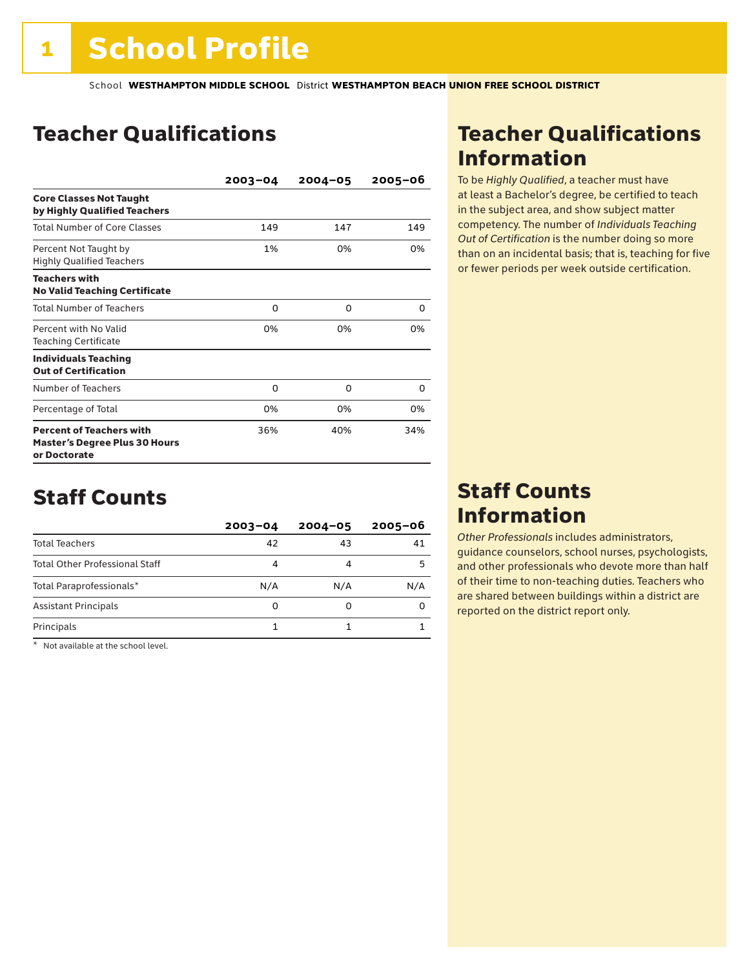## Teacher Qualifications

|                                                                                         | $2003 - 04$ | $2004 - 05$ | $2005 - 06$ |
|-----------------------------------------------------------------------------------------|-------------|-------------|-------------|
| <b>Core Classes Not Taught</b><br>by Highly Qualified Teachers                          |             |             |             |
| <b>Total Number of Core Classes</b>                                                     | 149         | 147         | 149         |
| Percent Not Taught by<br><b>Highly Qualified Teachers</b>                               | 1%          | 0%          | 0%          |
| <b>Teachers with</b><br><b>No Valid Teaching Certificate</b>                            |             |             |             |
| <b>Total Number of Teachers</b>                                                         | $\Omega$    | 0           | 0           |
| Percent with No Valid<br><b>Teaching Certificate</b>                                    | 0%          | 0%          | 0%          |
| <b>Individuals Teaching</b><br><b>Out of Certification</b>                              |             |             |             |
| Number of Teachers                                                                      | 0           | 0           | O           |
| Percentage of Total                                                                     | 0%          | 0%          | 0%          |
| <b>Percent of Teachers with</b><br><b>Master's Degree Plus 30 Hours</b><br>or Doctorate | 36%         | 40%         | 34%         |

### Staff Counts

|                                       | $2003 - 04$ | $2004 - 05$ | $2005 - 06$ |
|---------------------------------------|-------------|-------------|-------------|
| <b>Total Teachers</b>                 | 42          | 43          | 41          |
| <b>Total Other Professional Staff</b> | 4           |             | 5           |
| Total Paraprofessionals*              | N/A         | N/A         | N/A         |
| <b>Assistant Principals</b>           | 0           | 0           |             |
| Principals                            |             |             |             |

\* Not available at the school level.

## Teacher Qualifications Information

To be *Highly Qualified*, a teacher must have at least a Bachelor's degree, be certified to teach in the subject area, and show subject matter competency. The number of *Individuals Teaching Out of Certification* is the number doing so more than on an incidental basis; that is, teaching for five or fewer periods per week outside certification.

### Staff Counts Information

*Other Professionals* includes administrators, guidance counselors, school nurses, psychologists, and other professionals who devote more than half of their time to non-teaching duties. Teachers who are shared between buildings within a district are reported on the district report only.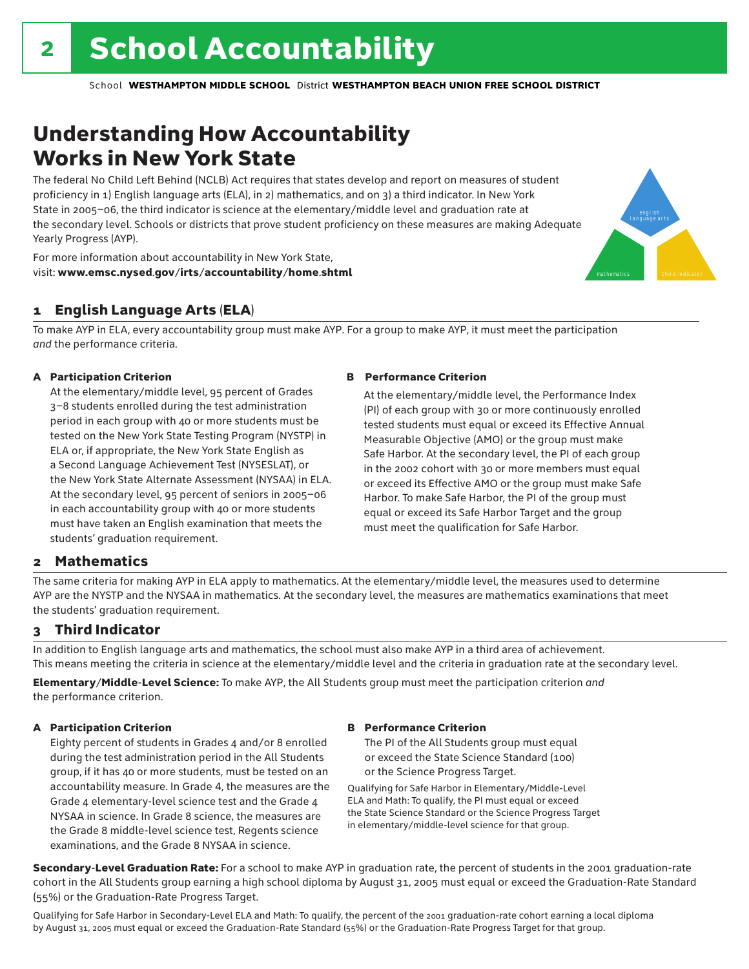# Understanding How Accountability Works in New York State

The federal No Child Left Behind (NCLB) Act requires that states develop and report on measures of student proficiency in 1) English language arts (ELA), in 2) mathematics, and on 3) a third indicator. In New York State in 2005–06, the third indicator is science at the elementary/middle level and graduation rate at the secondary level. Schools or districts that prove student proficiency on these measures are making Adequate Yearly Progress (AYP).



For more information about accountability in New York State, visit: www.emsc.nysed.gov/irts/accountability/home.shtml

### 1 English Language Arts (ELA)

To make AYP in ELA, every accountability group must make AYP. For a group to make AYP, it must meet the participation *and* the performance criteria.

### A Participation Criterion

At the elementary/middle level, 95 percent of Grades 3–8 students enrolled during the test administration period in each group with 40 or more students must be tested on the New York State Testing Program (NYSTP) in ELA or, if appropriate, the New York State English as a Second Language Achievement Test (NYSESLAT), or the New York State Alternate Assessment (NYSAA) in ELA. At the secondary level, 95 percent of seniors in 2005–06 in each accountability group with 40 or more students must have taken an English examination that meets the students' graduation requirement.

#### B Performance Criterion

At the elementary/middle level, the Performance Index (PI) of each group with 30 or more continuously enrolled tested students must equal or exceed its Effective Annual Measurable Objective (AMO) or the group must make Safe Harbor. At the secondary level, the PI of each group in the 2002 cohort with 30 or more members must equal or exceed its Effective AMO or the group must make Safe Harbor. To make Safe Harbor, the PI of the group must equal or exceed its Safe Harbor Target and the group must meet the qualification for Safe Harbor.

### 2 Mathematics

The same criteria for making AYP in ELA apply to mathematics. At the elementary/middle level, the measures used to determine AYP are the NYSTP and the NYSAA in mathematics. At the secondary level, the measures are mathematics examinations that meet the students' graduation requirement.

### 3 Third Indicator

In addition to English language arts and mathematics, the school must also make AYP in a third area of achievement. This means meeting the criteria in science at the elementary/middle level and the criteria in graduation rate at the secondary level.

Elementary/Middle-Level Science: To make AYP, the All Students group must meet the participation criterion *and* the performance criterion.

### A Participation Criterion

Eighty percent of students in Grades 4 and/or 8 enrolled during the test administration period in the All Students group, if it has 40 or more students, must be tested on an accountability measure. In Grade 4, the measures are the Grade 4 elementary-level science test and the Grade 4 NYSAA in science. In Grade 8 science, the measures are the Grade 8 middle-level science test, Regents science examinations, and the Grade 8 NYSAA in science.

### B Performance Criterion

The PI of the All Students group must equal or exceed the State Science Standard (100) or the Science Progress Target.

Qualifying for Safe Harbor in Elementary/Middle-Level ELA and Math: To qualify, the PI must equal or exceed the State Science Standard or the Science Progress Target in elementary/middle-level science for that group.

Secondary-Level Graduation Rate: For a school to make AYP in graduation rate, the percent of students in the 2001 graduation-rate cohort in the All Students group earning a high school diploma by August 31, 2005 must equal or exceed the Graduation-Rate Standard (55%) or the Graduation-Rate Progress Target.

Qualifying for Safe Harbor in Secondary-Level ELA and Math: To qualify, the percent of the 2001 graduation-rate cohort earning a local diploma by August 31, 2005 must equal or exceed the Graduation-Rate Standard (55%) or the Graduation-Rate Progress Target for that group.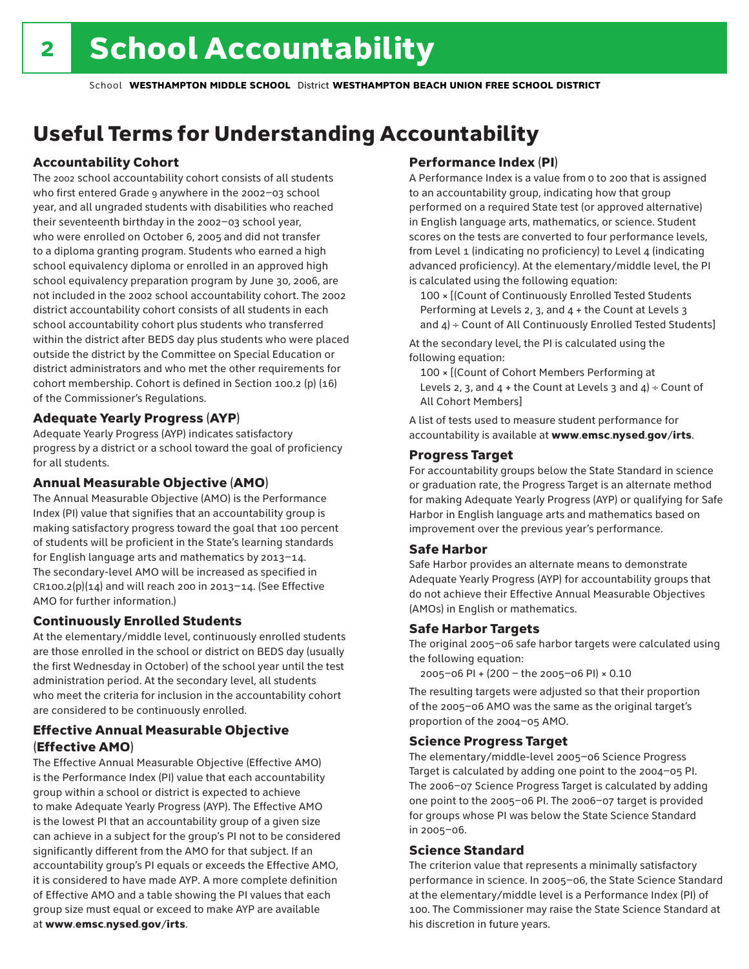# Useful Terms for Understanding Accountability

### Accountability Cohort

The 2002 school accountability cohort consists of all students who first entered Grade 9 anywhere in the 2002–03 school year, and all ungraded students with disabilities who reached their seventeenth birthday in the 2002–03 school year, who were enrolled on October 6, 2005 and did not transfer to a diploma granting program. Students who earned a high school equivalency diploma or enrolled in an approved high school equivalency preparation program by June 30, 2006, are not included in the 2002 school accountability cohort. The 2002 district accountability cohort consists of all students in each school accountability cohort plus students who transferred within the district after BEDS day plus students who were placed outside the district by the Committee on Special Education or district administrators and who met the other requirements for cohort membership. Cohort is defined in Section 100.2 (p) (16) of the Commissioner's Regulations.

### Adequate Yearly Progress (AYP)

Adequate Yearly Progress (AYP) indicates satisfactory progress by a district or a school toward the goal of proficiency for all students.

### Annual Measurable Objective (AMO)

The Annual Measurable Objective (AMO) is the Performance Index (PI) value that signifies that an accountability group is making satisfactory progress toward the goal that 100 percent of students will be proficient in the State's learning standards for English language arts and mathematics by 2013–14. The secondary-level AMO will be increased as specified in  $CR100.2(p)(14)$  and will reach 200 in 2013-14. (See Effective AMO for further information.)

### Continuously Enrolled Students

At the elementary/middle level, continuously enrolled students are those enrolled in the school or district on BEDS day (usually the first Wednesday in October) of the school year until the test administration period. At the secondary level, all students who meet the criteria for inclusion in the accountability cohort are considered to be continuously enrolled.

### Effective Annual Measurable Objective (Effective AMO)

The Effective Annual Measurable Objective (Effective AMO) is the Performance Index (PI) value that each accountability group within a school or district is expected to achieve to make Adequate Yearly Progress (AYP). The Effective AMO is the lowest PI that an accountability group of a given size can achieve in a subject for the group's PI not to be considered significantly different from the AMO for that subject. If an accountability group's PI equals or exceeds the Effective AMO, it is considered to have made AYP. A more complete definition of Effective AMO and a table showing the PI values that each group size must equal or exceed to make AYP are available at www.emsc.nysed.gov/irts.

### Performance Index (PI)

A Performance Index is a value from 0 to 200 that is assigned to an accountability group, indicating how that group performed on a required State test (or approved alternative) in English language arts, mathematics, or science. Student scores on the tests are converted to four performance levels, from Level 1 (indicating no proficiency) to Level 4 (indicating advanced proficiency). At the elementary/middle level, the PI is calculated using the following equation:

100 × [(Count of Continuously Enrolled Tested Students Performing at Levels 2, 3, and 4 + the Count at Levels 3 and  $4$ ) ÷ Count of All Continuously Enrolled Tested Students]

At the secondary level, the PI is calculated using the following equation:

100 × [(Count of Cohort Members Performing at Levels 2, 3, and  $4 +$  the Count at Levels 3 and  $4$ ) ÷ Count of All Cohort Members]

A list of tests used to measure student performance for accountability is available at www.emsc.nysed.gov/irts.

### Progress Target

For accountability groups below the State Standard in science or graduation rate, the Progress Target is an alternate method for making Adequate Yearly Progress (AYP) or qualifying for Safe Harbor in English language arts and mathematics based on improvement over the previous year's performance.

### Safe Harbor

Safe Harbor provides an alternate means to demonstrate Adequate Yearly Progress (AYP) for accountability groups that do not achieve their Effective Annual Measurable Objectives (AMOs) in English or mathematics.

### Safe Harbor Targets

The original 2005–06 safe harbor targets were calculated using the following equation:

2005–06 PI + (200 – the 2005–06 PI) × 0.10

The resulting targets were adjusted so that their proportion of the 2005–06 AMO was the same as the original target's proportion of the 2004–05 AMO.

### Science Progress Target

The elementary/middle-level 2005–06 Science Progress Target is calculated by adding one point to the 2004–05 PI. The 2006–07 Science Progress Target is calculated by adding one point to the 2005–06 PI. The 2006–07 target is provided for groups whose PI was below the State Science Standard in 2005–06.

### Science Standard

The criterion value that represents a minimally satisfactory performance in science. In 2005–06, the State Science Standard at the elementary/middle level is a Performance Index (PI) of 100. The Commissioner may raise the State Science Standard at his discretion in future years.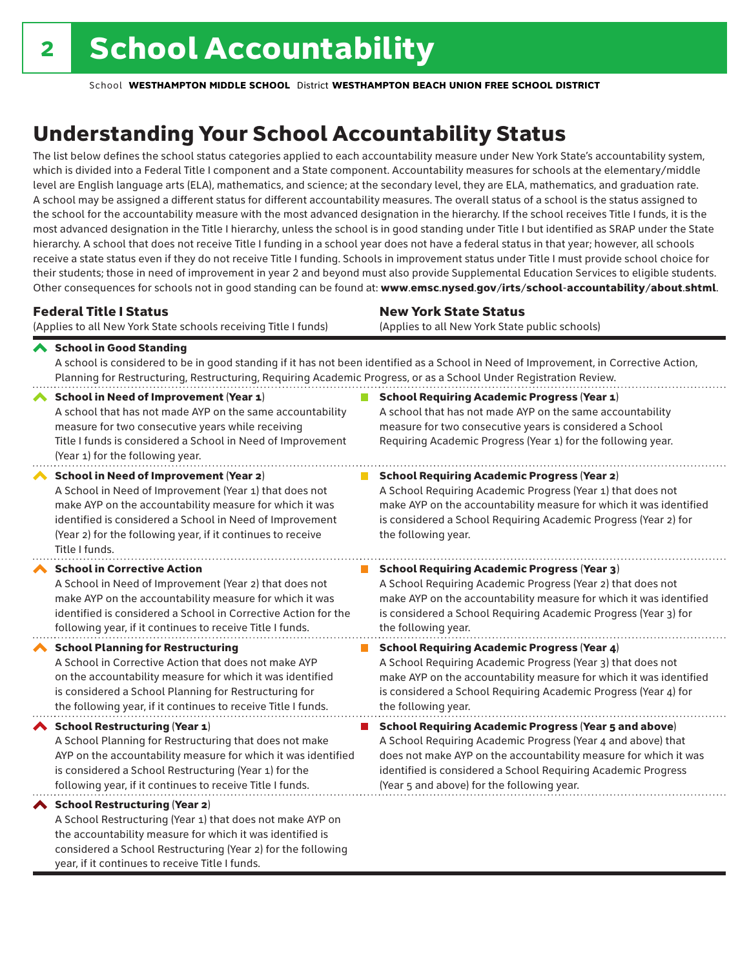considered a School Restructuring (Year 2) for the following

year, if it continues to receive Title I funds.

School **WESTHAMPTON MIDDLE SCHOOL** District **WESTHAMPTON BEACH UNION FREE SCHOOL DISTRICT**

# Understanding Your School Accountability Status

The list below defines the school status categories applied to each accountability measure under New York State's accountability system, which is divided into a Federal Title I component and a State component. Accountability measures for schools at the elementary/middle level are English language arts (ELA), mathematics, and science; at the secondary level, they are ELA, mathematics, and graduation rate. A school may be assigned a different status for different accountability measures. The overall status of a school is the status assigned to the school for the accountability measure with the most advanced designation in the hierarchy. If the school receives Title I funds, it is the most advanced designation in the Title I hierarchy, unless the school is in good standing under Title I but identified as SRAP under the State hierarchy. A school that does not receive Title I funding in a school year does not have a federal status in that year; however, all schools receive a state status even if they do not receive Title I funding. Schools in improvement status under Title I must provide school choice for their students; those in need of improvement in year 2 and beyond must also provide Supplemental Education Services to eligible students. Other consequences for schools not in good standing can be found at: www.emsc.nysed.gov/irts/school-accountability/about.shtml.

| <b>Federal Title I Status</b>                                                                                                                                                                                                                                                                                   | <b>New York State Status</b>                                                                                                                                                                                                                                                      |  |  |  |  |
|-----------------------------------------------------------------------------------------------------------------------------------------------------------------------------------------------------------------------------------------------------------------------------------------------------------------|-----------------------------------------------------------------------------------------------------------------------------------------------------------------------------------------------------------------------------------------------------------------------------------|--|--|--|--|
| (Applies to all New York State schools receiving Title I funds)                                                                                                                                                                                                                                                 | (Applies to all New York State public schools)                                                                                                                                                                                                                                    |  |  |  |  |
| School in Good Standing<br>Planning for Restructuring, Restructuring, Requiring Academic Progress, or as a School Under Registration Review.                                                                                                                                                                    | A school is considered to be in good standing if it has not been identified as a School in Need of Improvement, in Corrective Action,                                                                                                                                             |  |  |  |  |
| <b>School in Need of Improvement (Year 1)</b><br>A school that has not made AYP on the same accountability<br>measure for two consecutive years while receiving<br>Title I funds is considered a School in Need of Improvement<br>(Year 1) for the following year.                                              | <b>School Requiring Academic Progress (Year 1)</b><br>A school that has not made AYP on the same accountability<br>measure for two consecutive years is considered a School<br>Requiring Academic Progress (Year 1) for the following year.                                       |  |  |  |  |
| <b>School in Need of Improvement (Year 2)</b><br>A School in Need of Improvement (Year 1) that does not<br>make AYP on the accountability measure for which it was<br>identified is considered a School in Need of Improvement<br>(Year 2) for the following year, if it continues to receive<br>Title I funds. | <b>School Requiring Academic Progress (Year 2)</b><br>A School Requiring Academic Progress (Year 1) that does not<br>make AYP on the accountability measure for which it was identified<br>is considered a School Requiring Academic Progress (Year 2) for<br>the following year. |  |  |  |  |
| <b>School in Corrective Action</b>                                                                                                                                                                                                                                                                              | <b>School Requiring Academic Progress (Year 3)</b>                                                                                                                                                                                                                                |  |  |  |  |
| A School in Need of Improvement (Year 2) that does not                                                                                                                                                                                                                                                          | A School Requiring Academic Progress (Year 2) that does not                                                                                                                                                                                                                       |  |  |  |  |
| make AYP on the accountability measure for which it was                                                                                                                                                                                                                                                         | make AYP on the accountability measure for which it was identified                                                                                                                                                                                                                |  |  |  |  |
| identified is considered a School in Corrective Action for the                                                                                                                                                                                                                                                  | is considered a School Requiring Academic Progress (Year 3) for                                                                                                                                                                                                                   |  |  |  |  |
| following year, if it continues to receive Title I funds.                                                                                                                                                                                                                                                       | the following year.                                                                                                                                                                                                                                                               |  |  |  |  |
| <b>School Planning for Restructuring</b>                                                                                                                                                                                                                                                                        | <b>School Requiring Academic Progress (Year 4)</b>                                                                                                                                                                                                                                |  |  |  |  |
| A School in Corrective Action that does not make AYP                                                                                                                                                                                                                                                            | A School Requiring Academic Progress (Year 3) that does not                                                                                                                                                                                                                       |  |  |  |  |
| on the accountability measure for which it was identified                                                                                                                                                                                                                                                       | make AYP on the accountability measure for which it was identified                                                                                                                                                                                                                |  |  |  |  |
| is considered a School Planning for Restructuring for                                                                                                                                                                                                                                                           | is considered a School Requiring Academic Progress (Year 4) for                                                                                                                                                                                                                   |  |  |  |  |
| the following year, if it continues to receive Title I funds.                                                                                                                                                                                                                                                   | the following year.                                                                                                                                                                                                                                                               |  |  |  |  |
| School Restructuring (Year 1)                                                                                                                                                                                                                                                                                   | <b>School Requiring Academic Progress (Year 5 and above)</b>                                                                                                                                                                                                                      |  |  |  |  |
| A School Planning for Restructuring that does not make                                                                                                                                                                                                                                                          | A School Requiring Academic Progress (Year 4 and above) that                                                                                                                                                                                                                      |  |  |  |  |
| AYP on the accountability measure for which it was identified                                                                                                                                                                                                                                                   | does not make AYP on the accountability measure for which it was                                                                                                                                                                                                                  |  |  |  |  |
| is considered a School Restructuring (Year 1) for the                                                                                                                                                                                                                                                           | identified is considered a School Requiring Academic Progress                                                                                                                                                                                                                     |  |  |  |  |
| following year, if it continues to receive Title I funds.                                                                                                                                                                                                                                                       | (Year 5 and above) for the following year.                                                                                                                                                                                                                                        |  |  |  |  |
| ◆ School Restructuring (Year 2)<br>A School Restructuring (Year 1) that does not make AYP on<br>the accountability measure for which it was identified is                                                                                                                                                       |                                                                                                                                                                                                                                                                                   |  |  |  |  |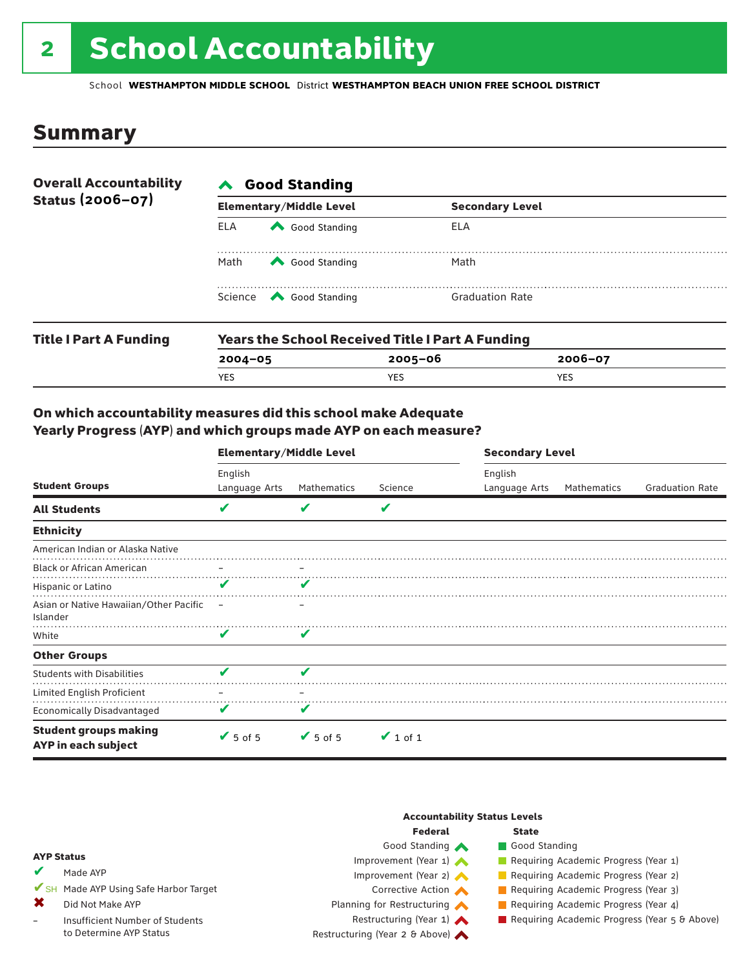# 2 School Accountability

School **WESTHAMPTON MIDDLE SCHOOL** District **WESTHAMPTON BEACH UNION FREE SCHOOL DISTRICT**

### Summary

| <b>Overall Accountability</b><br>Status (2006-07) | <b>∧</b> Good Standing |                                                         |                        |  |  |  |
|---------------------------------------------------|------------------------|---------------------------------------------------------|------------------------|--|--|--|
|                                                   |                        | <b>Elementary/Middle Level</b>                          | <b>Secondary Level</b> |  |  |  |
|                                                   | <b>ELA</b>             | Good Standing                                           | ELA                    |  |  |  |
|                                                   | Math                   | Good Standing                                           | Math                   |  |  |  |
|                                                   |                        | Science <a> Good Standing</a>                           | <b>Graduation Rate</b> |  |  |  |
| <b>Title I Part A Funding</b>                     |                        | <b>Years the School Received Title I Part A Funding</b> |                        |  |  |  |

| <b>Title Part A Funding</b> | rears the School Received Title Fraft A Funding |         |             |  |  |  |  |
|-----------------------------|-------------------------------------------------|---------|-------------|--|--|--|--|
|                             | $2004 - 05$                                     | 2005-06 | $2006 - 07$ |  |  |  |  |
|                             | YES                                             | YES     | YES         |  |  |  |  |
|                             |                                                 |         |             |  |  |  |  |

### On which accountability measures did this school make Adequate Yearly Progress (AYP) and which groups made AYP on each measure?

|                                                     | <b>Elementary/Middle Level</b> |               |               | <b>Secondary Level</b>   |             |                        |  |
|-----------------------------------------------------|--------------------------------|---------------|---------------|--------------------------|-------------|------------------------|--|
| <b>Student Groups</b>                               | English<br>Language Arts       | Mathematics   | Science       | English<br>Language Arts | Mathematics | <b>Graduation Rate</b> |  |
| <b>All Students</b>                                 | V                              | V             | V             |                          |             |                        |  |
| <b>Ethnicity</b>                                    |                                |               |               |                          |             |                        |  |
| American Indian or Alaska Native                    |                                |               |               |                          |             |                        |  |
| <b>Black or African American</b>                    | $\qquad \qquad -$              | -             |               |                          |             |                        |  |
| Hispanic or Latino                                  | ✔                              | ✔             |               |                          |             |                        |  |
| Asian or Native Hawaiian/Other Pacific<br>Islander  | $\overline{\phantom{0}}$       |               |               |                          |             |                        |  |
| White                                               | V                              | V             |               |                          |             |                        |  |
| <b>Other Groups</b>                                 |                                |               |               |                          |             |                        |  |
| <b>Students with Disabilities</b>                   | v                              | V             |               |                          |             |                        |  |
| Limited English Proficient                          |                                |               |               |                          |             |                        |  |
| <b>Economically Disadvantaged</b>                   |                                |               |               |                          |             |                        |  |
| <b>Student groups making</b><br>AYP in each subject | $\blacktriangleright$ 5 of 5   | $\vee$ 5 of 5 | $\vee$ 1 of 1 |                          |             |                        |  |

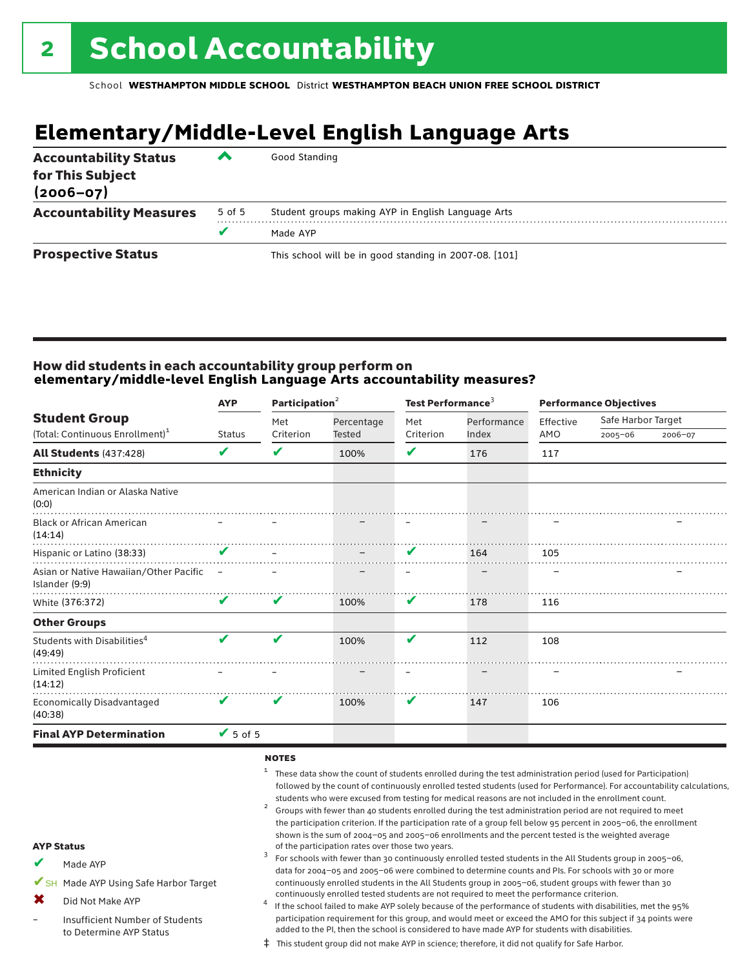# **Elementary/Middle-Level English Language Arts**

| <b>Accountability Status</b><br>for This Subject<br>$(2006 - 07)$ | ▰      | Good Standing                                          |
|-------------------------------------------------------------------|--------|--------------------------------------------------------|
| <b>Accountability Measures</b>                                    | 5 of 5 | Student groups making AYP in English Language Arts     |
|                                                                   |        | Made AYP                                               |
| <b>Prospective Status</b>                                         |        | This school will be in good standing in 2007-08. [101] |

### How did students in each accountability group perform on **elementary/middle-level English Language Arts accountability measures?**

|                                                            | <b>AYP</b>      |           | Participation <sup>2</sup> |           | Test Performance <sup>3</sup> |           | <b>Performance Objectives</b> |         |
|------------------------------------------------------------|-----------------|-----------|----------------------------|-----------|-------------------------------|-----------|-------------------------------|---------|
| <b>Student Group</b>                                       |                 | Met       | Percentage                 | Met       | Performance                   | Effective | Safe Harbor Target            |         |
| (Total: Continuous Enrollment) <sup>1</sup>                | <b>Status</b>   | Criterion | <b>Tested</b>              | Criterion | Index                         | AMO       | $2005 - 06$                   | 2006-07 |
| <b>All Students (437:428)</b>                              | V               | V         | 100%                       | V         | 176                           | 117       |                               |         |
| <b>Ethnicity</b>                                           |                 |           |                            |           |                               |           |                               |         |
| American Indian or Alaska Native<br>(0:0)                  |                 |           |                            |           |                               |           |                               |         |
| <b>Black or African American</b><br>(14:14)                |                 |           |                            |           |                               |           |                               |         |
| Hispanic or Latino (38:33)                                 | $\checkmark$    |           |                            | V         | 164                           | 105       |                               |         |
| Asian or Native Hawaiian/Other Pacific –<br>Islander (9:9) |                 |           |                            |           |                               |           |                               |         |
| White (376:372)                                            | V               | V         | 100%                       | V         | 178                           | 116       |                               |         |
| <b>Other Groups</b>                                        |                 |           |                            |           |                               |           |                               |         |
| Students with Disabilities <sup>4</sup><br>(49:49)         | V               | V         | 100%                       | V         | 112                           | 108       |                               |         |
| Limited English Proficient<br>(14:12)<br>.                 |                 |           |                            |           |                               |           |                               |         |
| <b>Economically Disadvantaged</b><br>(40:38)               | V               | V         | 100%                       | V         | 147                           | 106       |                               |         |
| <b>Final AYP Determination</b>                             | $\sqrt{5}$ of 5 |           |                            |           |                               |           |                               |         |

#### notes

- <sup>1</sup> These data show the count of students enrolled during the test administration period (used for Participation) followed by the count of continuously enrolled tested students (used for Performance). For accountability calculations,
- students who were excused from testing for medical reasons are not included in the enrollment count.<br><sup>2</sup> Groups with fewer than 40 students enrolled during the test administration period are not required to meet the participation criterion. If the participation rate of a group fell below 95 percent in 2005–06, the enrollment shown is the sum of 2004–05 and 2005–06 enrollments and the percent tested is the weighted average<br>of the participation rates over those two years. of the participation rates over those two years. <sup>3</sup> For schools with fewer than 30 continuously enrolled tested students in the All Students group in 2005–06,

Made AYP ✔

AYP Status

- ✔SH Made AYP Using Safe Harbor Target
- Did Not Make AYP ✖
- Insufficient Number of Students to Determine AYP Status –
- continuously enrolled tested students are not required to meet the performance criterion.<br>If the school failed to make AYP solely because of the performance of students with disabilities, met the 95% participation requirement for this group, and would meet or exceed the AMO for this subject if 34 points were added to the PI, then the school is considered to have made AYP for students with disabilities.

data for 2004–05 and 2005–06 were combined to determine counts and PIs. For schools with 30 or more continuously enrolled students in the All Students group in 2005–06, student groups with fewer than 30

‡ This student group did not make AYP in science; therefore, it did not qualify for Safe Harbor.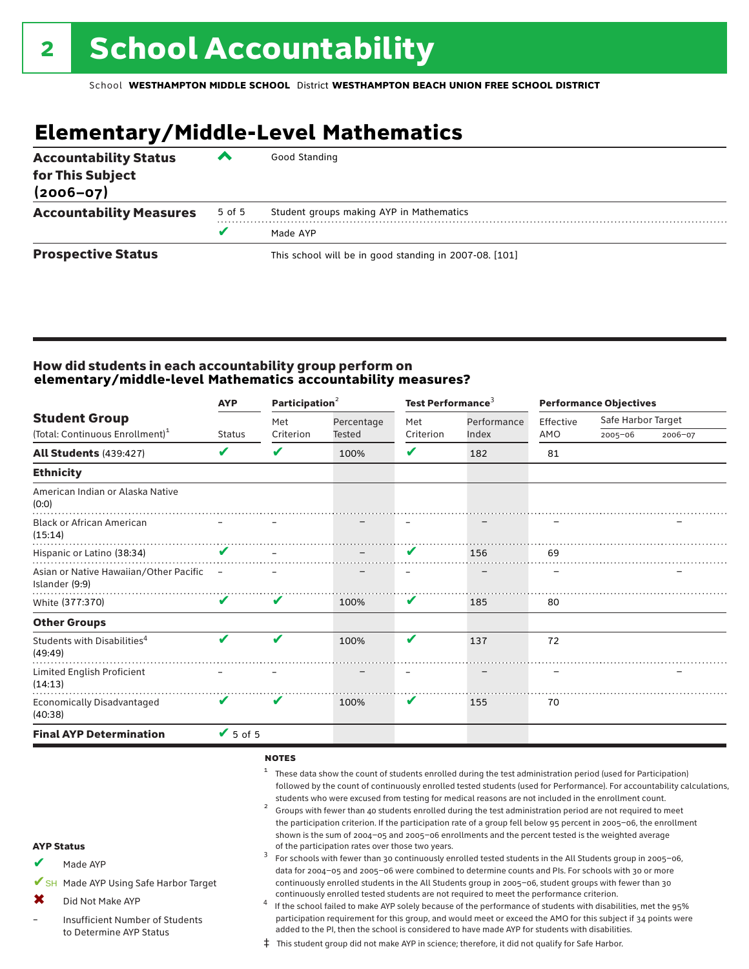# **Elementary/Middle-Level Mathematics**

| <b>Accountability Status</b><br>for This Subject<br>$(2006 - 07)$ | ▰      | Good Standing                                          |
|-------------------------------------------------------------------|--------|--------------------------------------------------------|
| <b>Accountability Measures</b>                                    | 5 of 5 | Student groups making AYP in Mathematics               |
|                                                                   |        | Made AYP                                               |
| <b>Prospective Status</b>                                         |        | This school will be in good standing in 2007-08. [101] |

### How did students in each accountability group perform on **elementary/middle-level Mathematics accountability measures?**

| <b>Performance Objectives</b> |  |  |
|-------------------------------|--|--|
| Safe Harbor Target<br>2006-07 |  |  |
|                               |  |  |
|                               |  |  |
|                               |  |  |
|                               |  |  |
|                               |  |  |
|                               |  |  |
|                               |  |  |
|                               |  |  |
|                               |  |  |
|                               |  |  |
|                               |  |  |
|                               |  |  |
|                               |  |  |
|                               |  |  |

#### notes

- <sup>1</sup> These data show the count of students enrolled during the test administration period (used for Participation) followed by the count of continuously enrolled tested students (used for Performance). For accountability calculations,
- students who were excused from testing for medical reasons are not included in the enrollment count.<br><sup>2</sup> Groups with fewer than 40 students enrolled during the test administration period are not required to meet the participation criterion. If the participation rate of a group fell below 95 percent in 2005–06, the enrollment shown is the sum of 2004–05 and 2005–06 enrollments and the percent tested is the weighted average<br>of the participation rates over those two years. of the participation rates over those two years. <sup>3</sup> For schools with fewer than 30 continuously enrolled tested students in the All Students group in 2005–06,

Made AYP ✔

AYP Status

- ✔SH Made AYP Using Safe Harbor Target
- Did Not Make AYP ✖
- Insufficient Number of Students to Determine AYP Status –
- continuously enrolled tested students are not required to meet the performance criterion.<br>If the school failed to make AYP solely because of the performance of students with disabilities, met the 95% participation requirement for this group, and would meet or exceed the AMO for this subject if 34 points were added to the PI, then the school is considered to have made AYP for students with disabilities.

data for 2004–05 and 2005–06 were combined to determine counts and PIs. For schools with 30 or more continuously enrolled students in the All Students group in 2005–06, student groups with fewer than 30

‡ This student group did not make AYP in science; therefore, it did not qualify for Safe Harbor.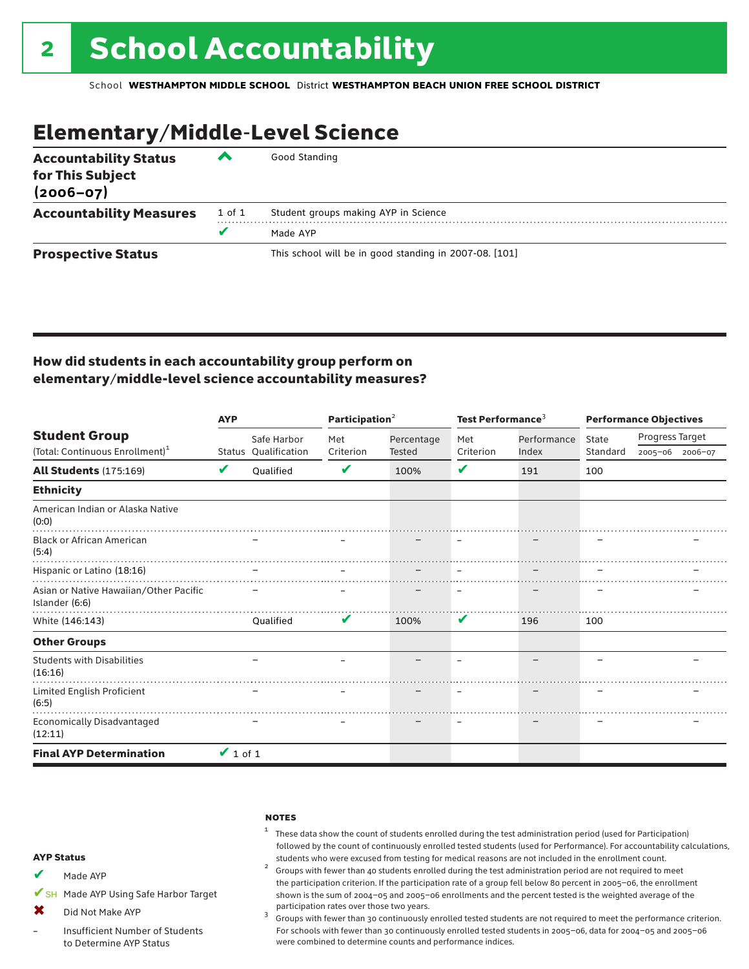# Elementary/Middle-Level Science

| <b>Accountability Status</b><br>for This Subject<br>$(2006 - 07)$ | ▰      | Good Standing                                          |
|-------------------------------------------------------------------|--------|--------------------------------------------------------|
| <b>Accountability Measures</b>                                    | 1 of 1 | Student groups making AYP in Science                   |
|                                                                   | v      | Made AYP                                               |
| <b>Prospective Status</b>                                         |        | This school will be in good standing in 2007-08. [101] |

### How did students in each accountability group perform on elementary/middle-level science accountability measures?

|                                                          | <b>AYP</b>    |                      | Participation <sup>2</sup> |               | Test Performance <sup>3</sup> |             | <b>Performance Objectives</b> |                 |  |
|----------------------------------------------------------|---------------|----------------------|----------------------------|---------------|-------------------------------|-------------|-------------------------------|-----------------|--|
| <b>Student Group</b>                                     |               | Safe Harbor          | Met                        | Percentage    | Met                           | Performance | State                         | Progress Target |  |
| (Total: Continuous Enrollment) <sup>1</sup>              |               | Status Qualification | Criterion                  | <b>Tested</b> | Criterion                     | Index       | Standard                      | 2005-06 2006-07 |  |
| All Students (175:169)                                   | V             | Oualified            | V                          | 100%          | V                             | 191         | 100                           |                 |  |
| <b>Ethnicity</b>                                         |               |                      |                            |               |                               |             |                               |                 |  |
| American Indian or Alaska Native<br>(0:0)                |               |                      |                            |               |                               |             |                               |                 |  |
| <b>Black or African American</b><br>(5:4)                |               |                      |                            |               |                               |             |                               |                 |  |
| Hispanic or Latino (18:16)                               |               |                      |                            |               |                               |             |                               |                 |  |
| Asian or Native Hawaiian/Other Pacific<br>Islander (6:6) |               |                      |                            |               |                               |             |                               |                 |  |
| White (146:143)                                          |               | Oualified            | V                          | 100%          | V                             | 196         | 100                           |                 |  |
| <b>Other Groups</b>                                      |               |                      |                            |               |                               |             |                               |                 |  |
| <b>Students with Disabilities</b><br>(16:16)             |               |                      |                            |               |                               |             |                               |                 |  |
| Limited English Proficient<br>(6:5)                      |               |                      |                            |               |                               |             |                               |                 |  |
| <b>Economically Disadvantaged</b><br>(12:11)             |               |                      |                            |               |                               |             |                               |                 |  |
| <b>Final AYP Determination</b>                           | $\vee$ 1 of 1 |                      |                            |               |                               |             |                               |                 |  |

#### **NOTES**

### $1$  These data show the count of students enrolled during the test administration period (used for Participation) followed by the count of continuously enrolled tested students (used for Performance). For accountability calculations,

students who were excused from testing for medical reasons are not included in the enrollment count. <sup>2</sup> Groups with fewer than <sup>40</sup> students enrolled during the test administration period are not required to meet the participation criterion. If the participation rate of a group fell below 80 percent in 2005–06, the enrollment shown is the sum of 2004–05 and 2005–06 enrollments and the percent tested is the weighted average of the

participation rates over those two years.<br><sup>3</sup> Groups with fewer than 30 continuously enrolled tested students are not required to meet the performance criterion. For schools with fewer than 30 continuously enrolled tested students in 2005–06, data for 2004–05 and 2005–06 were combined to determine counts and performance indices.

#### AYP Status

Made AYP ✔

✔SH Made AYP Using Safe Harbor Target

Did Not Make AYP  $\mathbf x$ 

Insufficient Number of Students to Determine AYP Status –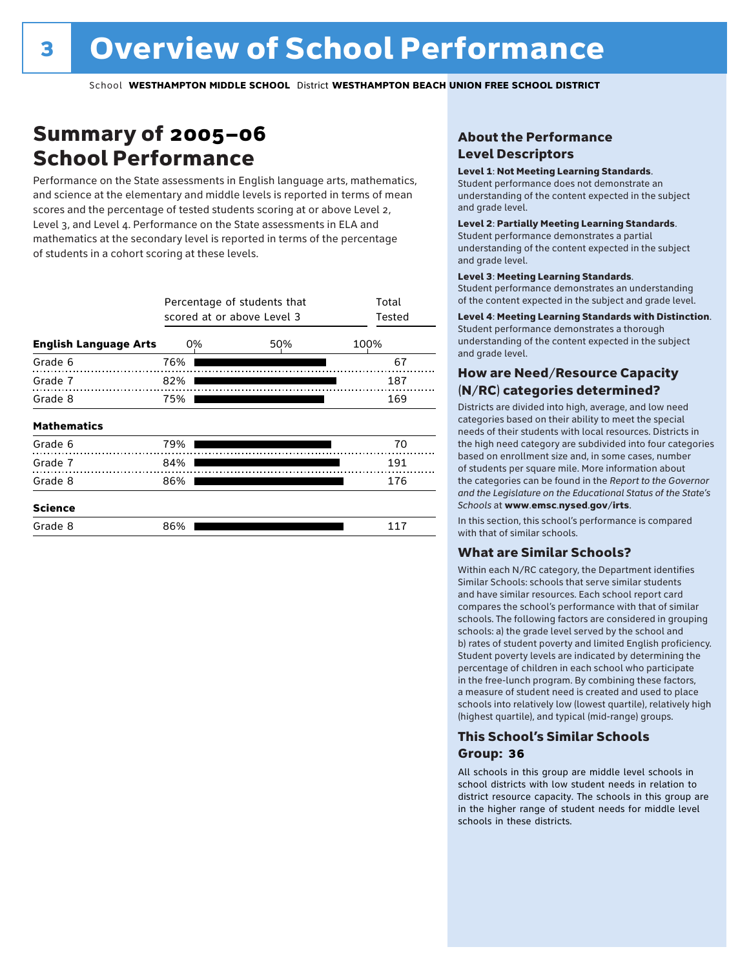# Summary of 2005–06 School Performance

Performance on the State assessments in English language arts, mathematics, and science at the elementary and middle levels is reported in terms of mean scores and the percentage of tested students scoring at or above Level 2, Level 3, and Level 4. Performance on the State assessments in ELA and mathematics at the secondary level is reported in terms of the percentage of students in a cohort scoring at these levels.

|                              | Percentage of students that<br>scored at or above Level 3 | Total<br>Tested |      |
|------------------------------|-----------------------------------------------------------|-----------------|------|
| <b>English Language Arts</b> | 0%                                                        | 50%             | 100% |
| Grade 6                      | 76%                                                       |                 | 67   |
| Grade 7                      | 82%                                                       |                 | 187  |
| Grade 8                      | 75%                                                       |                 | 169  |
| <b>Mathematics</b>           |                                                           |                 |      |
| Grade 6                      | 79%                                                       |                 | 70   |
| Grade 7                      | 84%                                                       |                 | 191  |
| Grade 8                      | 86%                                                       |                 | 176  |
| <b>Science</b>               |                                                           |                 |      |
| Grade 8                      | 86%                                                       |                 | 117  |

### About the Performance Level Descriptors

#### Level 1: Not Meeting Learning Standards.

Student performance does not demonstrate an understanding of the content expected in the subject and grade level.

#### Level 2: Partially Meeting Learning Standards.

Student performance demonstrates a partial understanding of the content expected in the subject and grade level.

#### Level 3: Meeting Learning Standards.

Student performance demonstrates an understanding of the content expected in the subject and grade level.

#### Level 4: Meeting Learning Standards with Distinction.

Student performance demonstrates a thorough understanding of the content expected in the subject and grade level.

### How are Need/Resource Capacity (N/RC) categories determined?

Districts are divided into high, average, and low need categories based on their ability to meet the special needs of their students with local resources. Districts in the high need category are subdivided into four categories based on enrollment size and, in some cases, number of students per square mile. More information about the categories can be found in the *Report to the Governor and the Legislature on the Educational Status of the State's Schools* at www.emsc.nysed.gov/irts.

In this section, this school's performance is compared with that of similar schools.

### What are Similar Schools?

Within each N/RC category, the Department identifies Similar Schools: schools that serve similar students and have similar resources. Each school report card compares the school's performance with that of similar schools. The following factors are considered in grouping schools: a) the grade level served by the school and b) rates of student poverty and limited English proficiency. Student poverty levels are indicated by determining the percentage of children in each school who participate in the free-lunch program. By combining these factors, a measure of student need is created and used to place schools into relatively low (lowest quartile), relatively high (highest quartile), and typical (mid-range) groups.

### This School's Similar Schools Group: **36**

All schools in this group are middle level schools in school districts with low student needs in relation to district resource capacity. The schools in this group are in the higher range of student needs for middle level schools in these districts.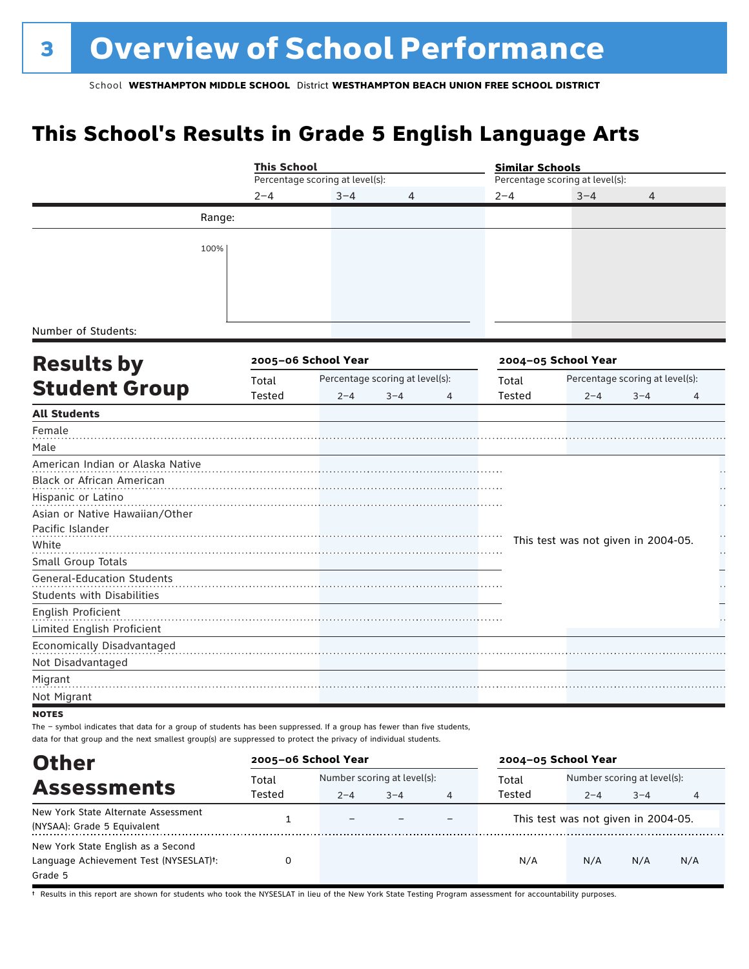# **This School's Results in Grade 5 English Language Arts**

|                                                                                                                                        | <b>This School</b> |                                 |                                 |   | <b>Similar Schools</b> |                                     |                                 |   |  |
|----------------------------------------------------------------------------------------------------------------------------------------|--------------------|---------------------------------|---------------------------------|---|------------------------|-------------------------------------|---------------------------------|---|--|
|                                                                                                                                        |                    | Percentage scoring at level(s): |                                 |   |                        | Percentage scoring at level(s):     |                                 |   |  |
|                                                                                                                                        | $2 - 4$            | $3 - 4$                         | 4                               |   | $2 - 4$                | $3 - 4$                             | $\overline{4}$                  |   |  |
| Range:                                                                                                                                 |                    |                                 |                                 |   |                        |                                     |                                 |   |  |
|                                                                                                                                        |                    |                                 |                                 |   |                        |                                     |                                 |   |  |
| 100%                                                                                                                                   |                    |                                 |                                 |   |                        |                                     |                                 |   |  |
|                                                                                                                                        |                    |                                 |                                 |   |                        |                                     |                                 |   |  |
|                                                                                                                                        |                    |                                 |                                 |   |                        |                                     |                                 |   |  |
|                                                                                                                                        |                    |                                 |                                 |   |                        |                                     |                                 |   |  |
| Number of Students:                                                                                                                    |                    |                                 |                                 |   |                        |                                     |                                 |   |  |
|                                                                                                                                        |                    |                                 |                                 |   |                        |                                     |                                 |   |  |
| <b>Results by</b>                                                                                                                      |                    | 2005-06 School Year             |                                 |   |                        | 2004-05 School Year                 |                                 |   |  |
| <b>Student Group</b>                                                                                                                   | Total              |                                 | Percentage scoring at level(s): |   | Total                  |                                     | Percentage scoring at level(s): |   |  |
|                                                                                                                                        | Tested             | $2 - 4$                         | $3 - 4$                         | 4 | Tested                 | $2 - 4$                             | $3 - 4$                         | 4 |  |
| <b>All Students</b><br>Female                                                                                                          |                    |                                 |                                 |   |                        |                                     |                                 |   |  |
| Male                                                                                                                                   |                    |                                 |                                 |   |                        |                                     |                                 |   |  |
| American Indian or Alaska Native                                                                                                       |                    |                                 |                                 |   |                        |                                     |                                 |   |  |
| Black or African American                                                                                                              |                    |                                 |                                 |   |                        |                                     |                                 |   |  |
| Hispanic or Latino                                                                                                                     |                    |                                 |                                 |   |                        |                                     |                                 |   |  |
| Asian or Native Hawaiian/Other                                                                                                         |                    |                                 |                                 |   |                        |                                     |                                 |   |  |
| Pacific Islander                                                                                                                       |                    |                                 |                                 |   |                        |                                     |                                 |   |  |
| White                                                                                                                                  |                    |                                 |                                 |   |                        | This test was not given in 2004-05. |                                 |   |  |
| Small Group Totals                                                                                                                     |                    |                                 |                                 |   |                        |                                     |                                 |   |  |
| <b>General-Education Students</b>                                                                                                      |                    |                                 |                                 |   |                        |                                     |                                 |   |  |
| <b>Students with Disabilities</b>                                                                                                      |                    |                                 |                                 |   |                        |                                     |                                 |   |  |
| English Proficient                                                                                                                     |                    |                                 |                                 |   |                        |                                     |                                 |   |  |
| Limited English Proficient                                                                                                             |                    |                                 |                                 |   |                        |                                     |                                 |   |  |
| Economically Disadvantaged                                                                                                             |                    |                                 |                                 |   |                        |                                     |                                 |   |  |
| Not Disadvantaged                                                                                                                      |                    |                                 |                                 |   |                        |                                     |                                 |   |  |
| Migrant                                                                                                                                |                    |                                 |                                 |   |                        |                                     |                                 |   |  |
| Not Migrant                                                                                                                            |                    |                                 |                                 |   |                        |                                     |                                 |   |  |
| <b>NOTES</b><br>The - symbol indicates that data for a group of students has been suppressed. If a group has fewer than five students, |                    |                                 |                                 |   |                        |                                     |                                 |   |  |
| data for that group and the next smallest group(s) are suppressed to protect the privacy of individual students.                       |                    |                                 |                                 |   |                        |                                     |                                 |   |  |
| <b>Other</b>                                                                                                                           |                    | 2005-06 School Year             |                                 |   |                        | 2004-05 School Year                 |                                 |   |  |
| Accaccmantc                                                                                                                            | Total              |                                 | Number scoring at level(s):     |   | Total                  |                                     | Number scoring at level(s):     |   |  |

|                                                     | Total  | Number scoring at level(s): |         |   | Total  | Number scoring at level(s):         |         |     |
|-----------------------------------------------------|--------|-----------------------------|---------|---|--------|-------------------------------------|---------|-----|
| <b>Assessments</b>                                  | Tested | $2 - 4$                     | $3 - 4$ | 4 | Tested | $2 - 4$                             | $3 - 4$ |     |
| New York State Alternate Assessment                 |        | $\overline{\phantom{m}}$    |         |   |        | This test was not given in 2004-05. |         |     |
| (NYSAA): Grade 5 Equivalent                         |        |                             |         |   |        |                                     |         |     |
| New York State English as a Second                  |        |                             |         |   |        |                                     |         |     |
| Language Achievement Test (NYSESLAT) <sup>+</sup> : |        |                             |         |   | N/A    | N/A                                 | N/A     | N/A |
| Grade 5                                             |        |                             |         |   |        |                                     |         |     |

† Results in this report are shown for students who took the NYSESLAT in lieu of the New York State Testing Program assessment for accountability purposes.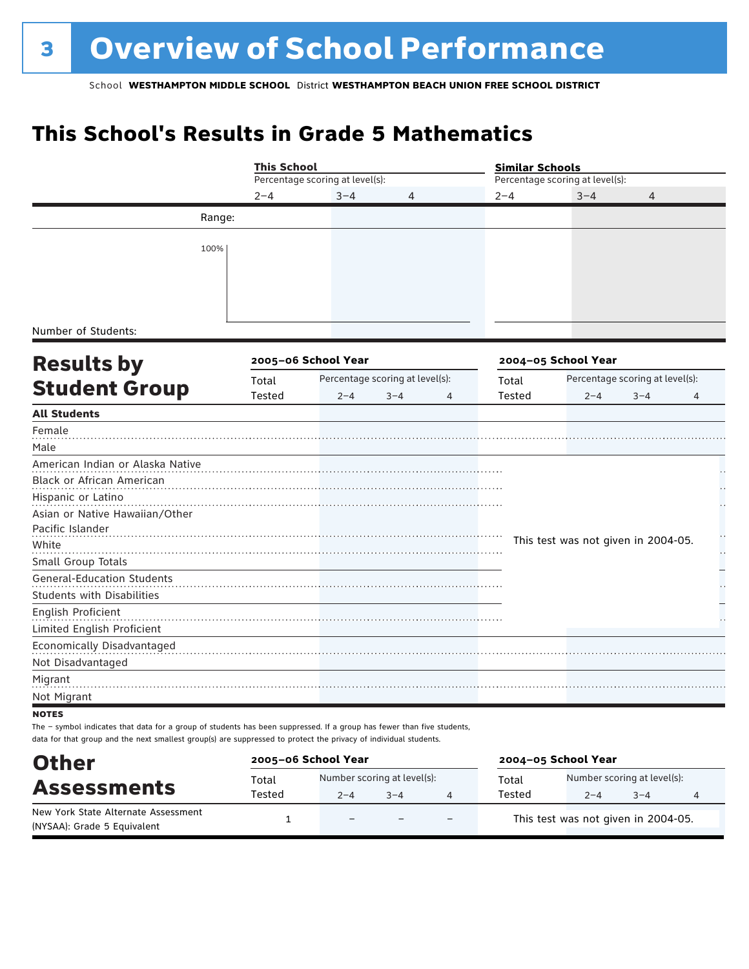# **This School's Results in Grade 5 Mathematics**

|                                                                                                                                        | <b>This School</b> |                                 |                                 |               | <b>Similar Schools</b>              |                                 |   |  |  |
|----------------------------------------------------------------------------------------------------------------------------------------|--------------------|---------------------------------|---------------------------------|---------------|-------------------------------------|---------------------------------|---|--|--|
|                                                                                                                                        |                    | Percentage scoring at level(s): |                                 |               |                                     | Percentage scoring at level(s): |   |  |  |
|                                                                                                                                        | $2 - 4$            | $3 - 4$                         | 4                               | $2 - 4$       | $3 - 4$                             | 4                               |   |  |  |
| Range:                                                                                                                                 |                    |                                 |                                 |               |                                     |                                 |   |  |  |
| 100%                                                                                                                                   |                    |                                 |                                 |               |                                     |                                 |   |  |  |
| Number of Students:                                                                                                                    |                    |                                 |                                 |               |                                     |                                 |   |  |  |
| <b>Results by</b>                                                                                                                      |                    | 2005-06 School Year             |                                 |               | 2004-05 School Year                 |                                 |   |  |  |
|                                                                                                                                        | Total              |                                 | Percentage scoring at level(s): | Total         |                                     | Percentage scoring at level(s): |   |  |  |
| <b>Student Group</b>                                                                                                                   | Tested             | $2 - 4$                         | $3 - 4$<br>4                    | <b>Tested</b> | $2 - 4$                             | $3 - 4$                         | 4 |  |  |
| <b>All Students</b>                                                                                                                    |                    |                                 |                                 |               |                                     |                                 |   |  |  |
| Female<br>Male                                                                                                                         |                    |                                 |                                 |               |                                     |                                 |   |  |  |
| American Indian or Alaska Native                                                                                                       |                    |                                 |                                 |               |                                     |                                 |   |  |  |
| Black or African American<br>Hispanic or Latino                                                                                        |                    |                                 |                                 |               |                                     |                                 |   |  |  |
| Asian or Native Hawaiian/Other                                                                                                         |                    |                                 |                                 |               |                                     |                                 |   |  |  |
| Pacific Islander                                                                                                                       |                    |                                 |                                 |               |                                     |                                 |   |  |  |
| White                                                                                                                                  |                    |                                 |                                 |               | This test was not given in 2004-05. |                                 |   |  |  |
| Small Group Totals                                                                                                                     |                    |                                 |                                 |               |                                     |                                 |   |  |  |
| <b>General-Education Students</b><br><b>Students with Disabilities</b>                                                                 |                    |                                 |                                 |               |                                     |                                 |   |  |  |
| English Proficient                                                                                                                     |                    |                                 |                                 |               |                                     |                                 |   |  |  |
| Limited English Proficient                                                                                                             |                    |                                 |                                 |               |                                     |                                 |   |  |  |
| Economically Disadvantaged                                                                                                             |                    |                                 |                                 |               |                                     |                                 |   |  |  |
| Not Disadvantaged                                                                                                                      |                    |                                 |                                 |               |                                     |                                 |   |  |  |
| Migrant                                                                                                                                |                    |                                 |                                 |               |                                     |                                 |   |  |  |
| Not Migrant                                                                                                                            |                    |                                 |                                 |               |                                     |                                 |   |  |  |
| <b>NOTES</b><br>The - symbol indicates that data for a group of students has been suppressed. If a group has fewer than five students, |                    |                                 |                                 |               |                                     |                                 |   |  |  |
| data for that group and the next smallest group(s) are suppressed to protect the privacy of individual students.                       |                    |                                 |                                 |               |                                     |                                 |   |  |  |

| <b>Other</b>                                                       | 2005-06 School Year |                          |                             |                          | 2004-05 School Year |                                     |         |   |  |
|--------------------------------------------------------------------|---------------------|--------------------------|-----------------------------|--------------------------|---------------------|-------------------------------------|---------|---|--|
| <b>Assessments</b>                                                 | Total               |                          | Number scoring at level(s): |                          |                     | Number scoring at level(s):         |         |   |  |
|                                                                    | Tested              | $2 - 4$                  | $3 - 4$                     |                          | Tested              | $2 - 4$                             | $3 - 4$ | 4 |  |
| New York State Alternate Assessment<br>(NYSAA): Grade 5 Equivalent |                     | $\overline{\phantom{0}}$ |                             | $\overline{\phantom{0}}$ |                     | This test was not given in 2004-05. |         |   |  |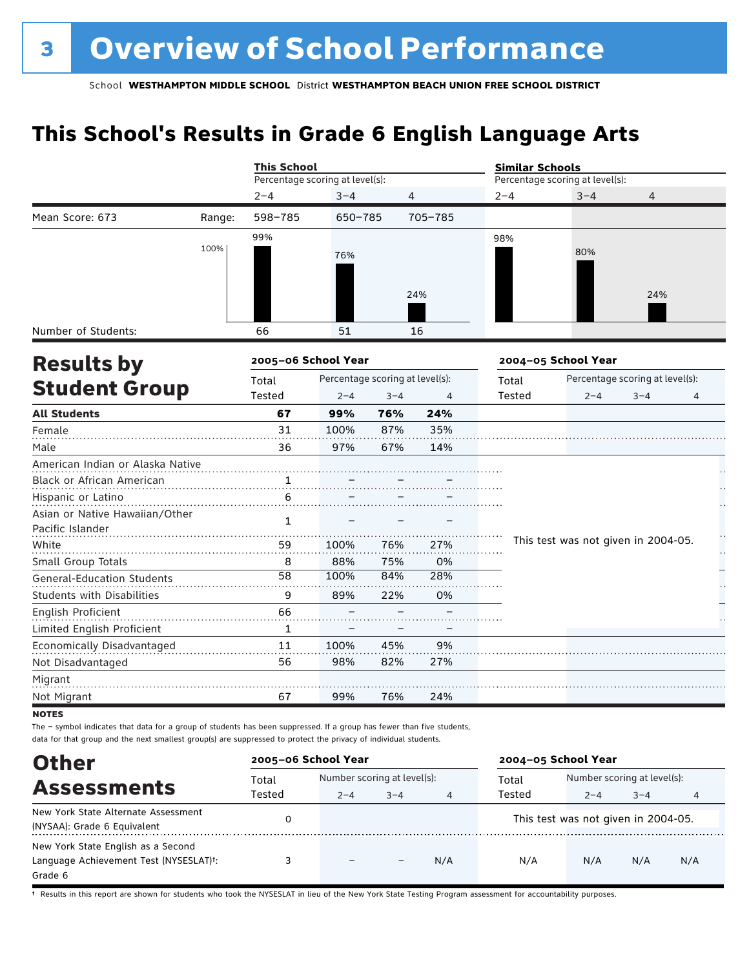# **This School's Results in Grade 6 English Language Arts**

|                                                    |        | <b>This School</b>              |                                 |                |         | <b>Similar Schools</b> |                                     |                                 |    |  |  |
|----------------------------------------------------|--------|---------------------------------|---------------------------------|----------------|---------|------------------------|-------------------------------------|---------------------------------|----|--|--|
|                                                    |        | Percentage scoring at level(s): |                                 |                |         |                        | Percentage scoring at level(s):     |                                 |    |  |  |
|                                                    |        | $2 - 4$                         | $3 - 4$                         | $\overline{4}$ |         | $2 - 4$                | $3 - 4$                             | 4                               |    |  |  |
| Mean Score: 673                                    | Range: | 598-785                         | 650-785                         |                | 705-785 |                        |                                     |                                 |    |  |  |
|                                                    | 100%   | 99%                             | 76%                             |                |         | 98%                    | 80%                                 |                                 |    |  |  |
|                                                    |        |                                 |                                 |                | 24%     |                        |                                     | 24%                             |    |  |  |
| Number of Students:                                |        | 66                              | 51                              |                | 16      |                        |                                     |                                 |    |  |  |
| <b>Results by</b>                                  |        | 2005-06 School Year             |                                 |                |         |                        | 2004-05 School Year                 |                                 |    |  |  |
|                                                    |        | Total                           | Percentage scoring at level(s): |                |         | Total                  |                                     | Percentage scoring at level(s): |    |  |  |
| <b>Student Group</b>                               |        | Tested                          | $2 - 4$                         | $3 - 4$        | 4       | Tested                 | $2 - 4$                             | $3 - 4$                         | 4  |  |  |
| <b>All Students</b>                                |        | 67                              | 99%                             | 76%            | 24%     |                        |                                     |                                 |    |  |  |
| Female                                             |        | 31                              | 100%                            | 87%            | 35%     |                        |                                     |                                 |    |  |  |
| Male                                               |        | 36                              | 97%                             | 67%            | 14%     |                        |                                     |                                 |    |  |  |
| American Indian or Alaska Native                   |        |                                 |                                 |                |         |                        |                                     |                                 |    |  |  |
| Black or African American                          |        | 1                               |                                 |                |         |                        |                                     |                                 |    |  |  |
| Hispanic or Latino                                 |        | 6                               |                                 |                |         |                        |                                     |                                 |    |  |  |
| Asian or Native Hawaiian/Other<br>Pacific Islander |        | $\mathbf{1}$                    |                                 |                |         |                        |                                     |                                 |    |  |  |
| White                                              |        | 59                              | 100%                            | 76%            | 27%     |                        | This test was not given in 2004-05. |                                 | Н, |  |  |
| Small Group Totals                                 |        | 8                               | 88%                             | 75%            | 0%      |                        |                                     |                                 |    |  |  |
| <b>General-Education Students</b>                  |        | 58                              | 100%                            | 84%            | 28%     |                        |                                     |                                 |    |  |  |
| <b>Students with Disabilities</b>                  |        | 9                               | 89%                             | 22%            | 0%      |                        |                                     |                                 |    |  |  |
| English Proficient                                 |        | 66                              |                                 |                |         |                        |                                     |                                 |    |  |  |
| Limited English Proficient                         |        | $\mathbf{1}$                    |                                 |                |         |                        |                                     |                                 |    |  |  |
| Economically Disadvantaged                         |        | 11                              | 100%                            | 45%            | 9%      |                        |                                     |                                 |    |  |  |
| Not Disadvantaged                                  |        | 56                              | 98%                             | 82%            | 27%     |                        |                                     |                                 |    |  |  |
| Migrant                                            |        |                                 |                                 |                |         |                        |                                     |                                 |    |  |  |
| Not Migrant                                        |        | 67                              | 99%                             | 76%            | 24%     |                        |                                     |                                 |    |  |  |

**NOTES** 

The – symbol indicates that data for a group of students has been suppressed. If a group has fewer than five students, data for that group and the next smallest group(s) are suppressed to protect the privacy of individual students.

| <b>Other</b>                                                                                         | 2005-06 School Year |                             |         |     | 2004-05 School Year |                                                |         |     |
|------------------------------------------------------------------------------------------------------|---------------------|-----------------------------|---------|-----|---------------------|------------------------------------------------|---------|-----|
| <b>Assessments</b>                                                                                   | Total               | Number scoring at level(s): |         |     | Total               | Number scoring at level(s):                    |         |     |
| New York State Alternate Assessment<br>(NYSAA): Grade 6 Equivalent                                   | Tested              | $2 - 4$                     | $3 - 4$ | 4   | Tested              | $2 - 4$<br>This test was not given in 2004-05. | $3 - 4$ | 4   |
| New York State English as a Second<br>Language Achievement Test (NYSESLAT) <sup>+</sup> :<br>Grade 6 |                     | $\overline{\phantom{0}}$    |         | N/A | N/A                 | N/A                                            | N/A     | N/A |

† Results in this report are shown for students who took the NYSESLAT in lieu of the New York State Testing Program assessment for accountability purposes.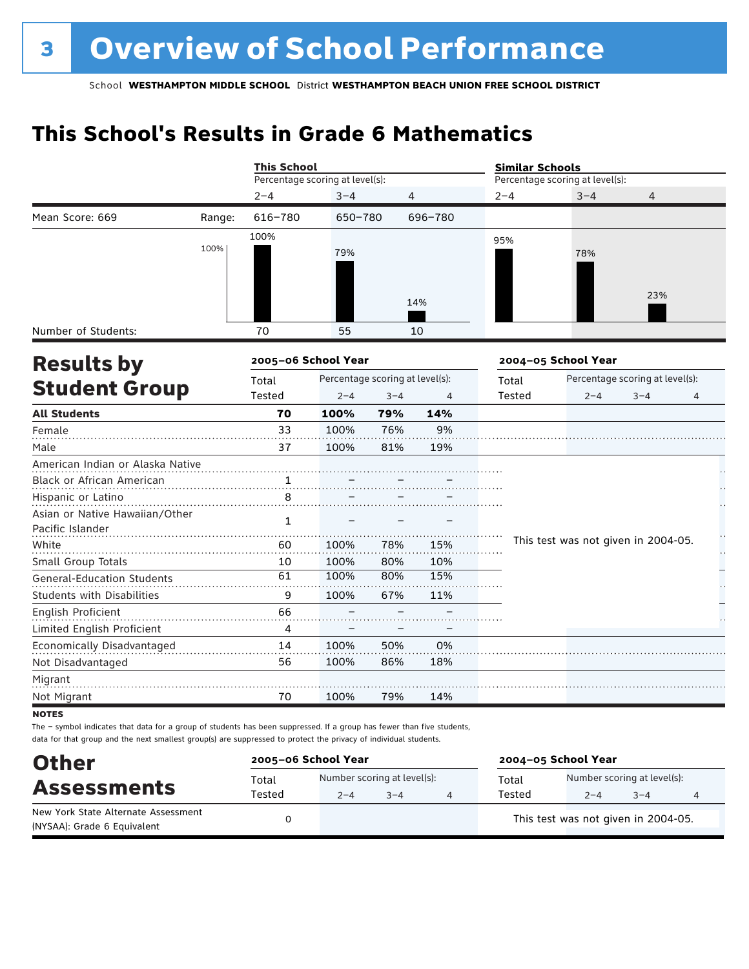# **This School's Results in Grade 6 Mathematics**

|                                                    |        | <b>This School</b>              |                                 |         |                | <b>Similar Schools</b>          |                     |                                     |    |  |  |
|----------------------------------------------------|--------|---------------------------------|---------------------------------|---------|----------------|---------------------------------|---------------------|-------------------------------------|----|--|--|
|                                                    |        | Percentage scoring at level(s): |                                 |         |                | Percentage scoring at level(s): |                     |                                     |    |  |  |
|                                                    |        | $2 - 4$                         | $3 - 4$                         |         | $\overline{4}$ | $2 - 4$                         | $3 - 4$             | $\overline{4}$                      |    |  |  |
| Mean Score: 669                                    | Range: | 616-780                         | 650-780                         |         | 696-780        |                                 |                     |                                     |    |  |  |
|                                                    | 100%   | 100%                            | 79%                             |         | 14%            | 95%                             | 78%                 | 23%                                 |    |  |  |
| Number of Students:                                |        | 70                              | 55                              |         | 10             |                                 |                     |                                     |    |  |  |
| <b>Results by</b>                                  |        | 2005-06 School Year             |                                 |         |                |                                 | 2004-05 School Year |                                     |    |  |  |
|                                                    |        | Total                           | Percentage scoring at level(s): |         |                | Total                           |                     | Percentage scoring at level(s):     |    |  |  |
| <b>Student Group</b>                               |        | Tested                          | $2 - 4$                         | $3 - 4$ | 4              | <b>Tested</b>                   | $2 - 4$             | $3 - 4$                             | 4  |  |  |
| <b>All Students</b>                                |        | 70                              | 100%                            | 79%     | 14%            |                                 |                     |                                     |    |  |  |
| Female                                             |        | 33                              | 100%                            | 76%     | 9%             |                                 |                     |                                     |    |  |  |
| Male                                               |        | 37                              | 100%                            | 81%     | 19%            |                                 |                     |                                     |    |  |  |
| American Indian or Alaska Native                   |        |                                 |                                 |         |                |                                 |                     |                                     |    |  |  |
| Black or African American                          |        | 1                               |                                 |         |                |                                 |                     |                                     |    |  |  |
| Hispanic or Latino                                 |        | 8                               |                                 |         |                |                                 |                     |                                     |    |  |  |
| Asian or Native Hawaiian/Other<br>Pacific Islander |        | 1                               |                                 |         |                |                                 |                     |                                     |    |  |  |
| White                                              |        | 60                              | 100%                            | 78%     | 15%            |                                 |                     | This test was not given in 2004-05. | μ, |  |  |
| Small Group Totals                                 |        | 10                              | 100%                            | 80%     | 10%            |                                 |                     |                                     |    |  |  |
| General-Education Students                         |        | 61                              | 100%                            | 80%     | 15%            |                                 |                     |                                     |    |  |  |
| <b>Students with Disabilities</b>                  |        | 9                               | 100%                            | 67%     | 11%            |                                 |                     |                                     |    |  |  |
| English Proficient                                 |        | 66                              |                                 |         |                |                                 |                     |                                     |    |  |  |
| Limited English Proficient                         |        | 4                               |                                 |         |                |                                 |                     |                                     |    |  |  |
| Economically Disadvantaged                         |        | 14                              | 100%                            | 50%     | 0%             |                                 |                     |                                     |    |  |  |
| Not Disadvantaged                                  |        | 56                              | 100%                            | 86%     | 18%            |                                 |                     |                                     |    |  |  |
| Migrant                                            |        |                                 |                                 |         |                |                                 |                     |                                     |    |  |  |
| Not Migrant                                        |        | 70                              | 100%                            | 79%     | 14%            |                                 |                     |                                     |    |  |  |

**NOTES** 

The – symbol indicates that data for a group of students has been suppressed. If a group has fewer than five students, data for that group and the next smallest group(s) are suppressed to protect the privacy of individual students.

| <b>Other</b>                        | 2005-06 School Year |                             |         | 2004-05 School Year |        |                                     |         |  |  |
|-------------------------------------|---------------------|-----------------------------|---------|---------------------|--------|-------------------------------------|---------|--|--|
| <b>Assessments</b>                  | Total               | Number scoring at level(s): |         |                     | Total  | Number scoring at level(s):         |         |  |  |
| New York State Alternate Assessment | Tested              | $2 - 4$                     | $3 - 4$ |                     | Tested | $2 - 4$                             | $3 - 4$ |  |  |
| (NYSAA): Grade 6 Equivalent         |                     |                             |         |                     |        | This test was not given in 2004-05. |         |  |  |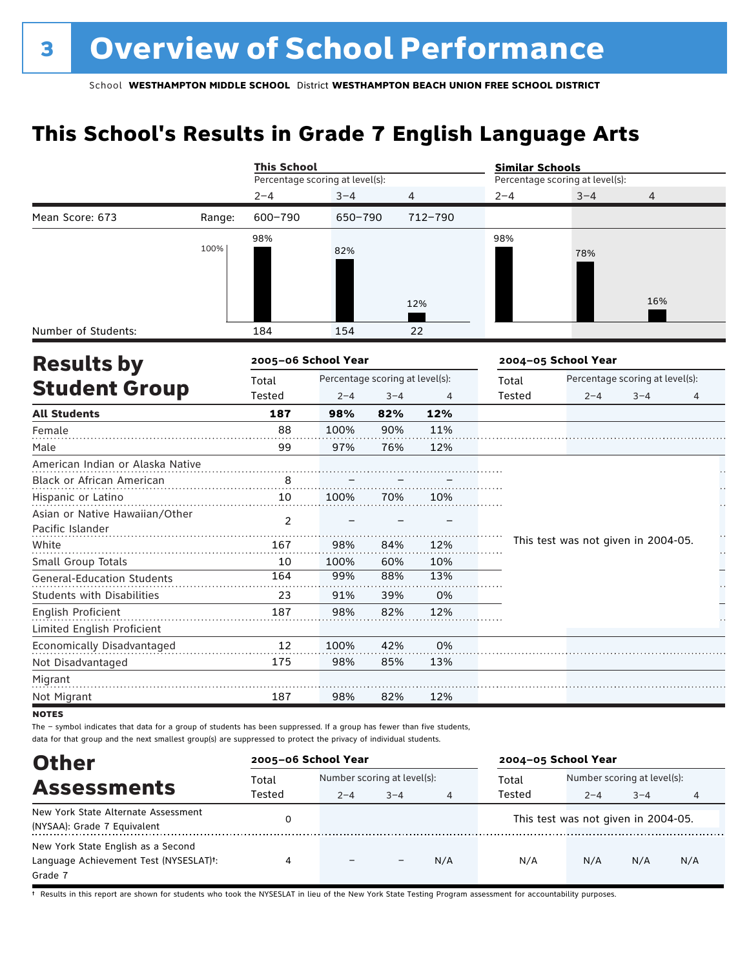# **This School's Results in Grade 7 English Language Arts**

|                                                    |        | <b>This School</b>              |                                 |                |         | <b>Similar Schools</b>          |         |                                     |        |  |
|----------------------------------------------------|--------|---------------------------------|---------------------------------|----------------|---------|---------------------------------|---------|-------------------------------------|--------|--|
|                                                    |        | Percentage scoring at level(s): |                                 |                |         | Percentage scoring at level(s): |         |                                     |        |  |
|                                                    |        | $2 - 4$                         | $3 - 4$                         | $\overline{4}$ |         | $2 - 4$                         | $3 - 4$ | $\overline{4}$                      |        |  |
| Mean Score: 673                                    | Range: | 600-790                         | 650-790                         |                | 712-790 |                                 |         |                                     |        |  |
|                                                    | 100%   | 98%                             | 82%                             |                |         | 98%                             | 78%     | 16%                                 |        |  |
|                                                    |        |                                 |                                 |                | 12%     |                                 |         |                                     |        |  |
| Number of Students:                                |        | 184                             | 154                             |                | 22      |                                 |         |                                     |        |  |
| <b>Results by</b>                                  |        | 2005-06 School Year             |                                 |                |         | 2004-05 School Year             |         |                                     |        |  |
|                                                    |        | Total                           | Percentage scoring at level(s): |                |         | Total                           |         | Percentage scoring at level(s):     |        |  |
| <b>Student Group</b>                               |        | Tested                          | $2 - 4$                         | $3 - 4$        | 4       | Tested                          | $2 - 4$ | $3 - 4$                             | 4      |  |
| <b>All Students</b>                                |        | 187                             | 98%                             | 82%            | 12%     |                                 |         |                                     |        |  |
| Female                                             |        | 88                              | 100%                            | 90%            | 11%     |                                 |         |                                     |        |  |
| Male                                               |        | 99                              | 97%                             | 76%            | 12%     |                                 |         |                                     |        |  |
| American Indian or Alaska Native                   |        |                                 |                                 |                |         |                                 |         |                                     |        |  |
| Black or African American                          |        | 8                               |                                 |                |         |                                 |         |                                     |        |  |
| Hispanic or Latino                                 |        | 10                              | 100%                            | 70%            | 10%     |                                 |         |                                     |        |  |
| Asian or Native Hawaiian/Other<br>Pacific Islander |        | $\mathfrak{p}$                  |                                 |                |         |                                 |         |                                     |        |  |
| White                                              |        | 167                             | 98%                             | 84%            | 12%     |                                 |         | This test was not given in 2004-05. | H<br>Н |  |
| Small Group Totals                                 |        | 10                              | 100%                            | 60%            | 10%     |                                 |         |                                     |        |  |
| <b>General-Education Students</b>                  |        | 164                             | 99%                             | 88%            | 13%     |                                 |         |                                     |        |  |
| <b>Students with Disabilities</b>                  |        | 23                              | 91%                             | 39%            | 0%      |                                 |         |                                     |        |  |
| English Proficient                                 |        | 187                             | 98%                             | 82%            | 12%     |                                 |         |                                     |        |  |
| Limited English Proficient                         |        |                                 |                                 |                |         |                                 |         |                                     |        |  |
| Economically Disadvantaged                         |        | 12                              | 100%                            | 42%            | 0%      |                                 |         |                                     |        |  |
| Not Disadvantaged                                  |        | 175                             | 98%                             | 85%            | 13%     |                                 |         |                                     |        |  |
| Migrant                                            |        |                                 |                                 |                |         |                                 |         |                                     |        |  |
| Not Migrant                                        |        | 187                             | 98%                             | 82%            | 12%     |                                 |         |                                     |        |  |
| <b>NOTES</b>                                       |        |                                 |                                 |                |         |                                 |         |                                     |        |  |

The – symbol indicates that data for a group of students has been suppressed. If a group has fewer than five students, data for that group and the next smallest group(s) are suppressed to protect the privacy of individual students.

| <b>Other</b>                                                                                         | 2005-06 School Year                  |         |         |     | 2004-05 School Year |                                                |         |     |
|------------------------------------------------------------------------------------------------------|--------------------------------------|---------|---------|-----|---------------------|------------------------------------------------|---------|-----|
| <b>Assessments</b>                                                                                   | Number scoring at level(s):<br>Total |         |         |     | Total               | Number scoring at level(s):                    |         |     |
| New York State Alternate Assessment<br>(NYSAA): Grade 7 Equivalent                                   | Tested                               | $2 - 4$ | $3 - 4$ | 4   | Tested              | $2 - 4$<br>This test was not given in 2004-05. | $3 - 4$ | 4   |
| New York State English as a Second<br>Language Achievement Test (NYSESLAT) <sup>+</sup> :<br>Grade 7 | 4                                    |         |         | N/A | N/A                 | N/A                                            | N/A     | N/A |

† Results in this report are shown for students who took the NYSESLAT in lieu of the New York State Testing Program assessment for accountability purposes.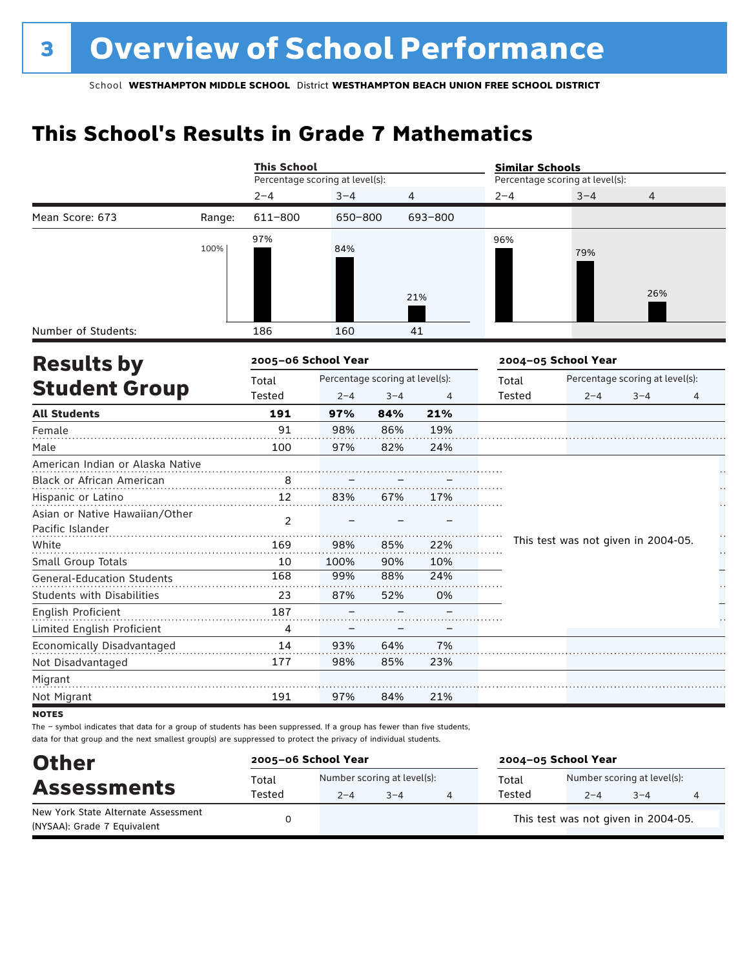# **This School's Results in Grade 7 Mathematics**

| Percentage scoring at level(s):<br>Percentage scoring at level(s):<br>$2 - 4$<br>$3 - 4$<br>$2 - 4$<br>$3 - 4$<br>4<br>4<br>611-800<br>Mean Score: 673<br>650-800<br>693-800<br>Range:<br>97%<br>96%<br>100%<br>84%<br>79%<br>26%<br>21%<br>Number of Students:<br>186<br>160<br>41<br>2005-06 School Year<br>2004-05 School Year<br><b>Results by</b><br>Percentage scoring at level(s):<br>Percentage scoring at level(s):<br>Total<br>Total<br><b>Student Group</b><br>Tested<br>Tested<br>$2 - 4$<br>$3 - 4$<br>4<br>$2 - 4$<br>$3 - 4$<br>4<br><b>All Students</b><br>21%<br>191<br>97%<br>84%<br>91<br>Female<br>98%<br>19%<br>86%<br>100<br>97%<br>82%<br>24%<br>Male<br>American Indian or Alaska Native<br>Black or African American<br>8<br>12<br>Hispanic or Latino<br>83%<br>67%<br>17%<br>Asian or Native Hawaiian/Other<br>$\overline{2}$<br>Pacific Islander<br>This test was not given in 2004-05.<br>White<br>169<br>98%<br>85%<br>22%<br>Small Group Totals<br>10<br>100%<br>90%<br>10%<br>168<br>99%<br>88%<br>24%<br><b>General-Education Students</b><br><b>Students with Disabilities</b><br>23<br>87%<br>52%<br>0%<br>English Proficient<br>187<br>Limited English Proficient<br>4<br>Economically Disadvantaged<br>14<br>93%<br>64%<br>7%<br>177<br>98%<br>85%<br>23%<br>Not Disadvantaged<br>Migrant<br>191<br>97%<br>84%<br>21%<br>Not Migrant |  | <b>This School</b> |  | <b>Similar Schools</b> |  |  |  |  |
|--------------------------------------------------------------------------------------------------------------------------------------------------------------------------------------------------------------------------------------------------------------------------------------------------------------------------------------------------------------------------------------------------------------------------------------------------------------------------------------------------------------------------------------------------------------------------------------------------------------------------------------------------------------------------------------------------------------------------------------------------------------------------------------------------------------------------------------------------------------------------------------------------------------------------------------------------------------------------------------------------------------------------------------------------------------------------------------------------------------------------------------------------------------------------------------------------------------------------------------------------------------------------------------------------------------------------------------------------------------------------|--|--------------------|--|------------------------|--|--|--|--|
|                                                                                                                                                                                                                                                                                                                                                                                                                                                                                                                                                                                                                                                                                                                                                                                                                                                                                                                                                                                                                                                                                                                                                                                                                                                                                                                                                                          |  |                    |  |                        |  |  |  |  |
|                                                                                                                                                                                                                                                                                                                                                                                                                                                                                                                                                                                                                                                                                                                                                                                                                                                                                                                                                                                                                                                                                                                                                                                                                                                                                                                                                                          |  |                    |  |                        |  |  |  |  |
|                                                                                                                                                                                                                                                                                                                                                                                                                                                                                                                                                                                                                                                                                                                                                                                                                                                                                                                                                                                                                                                                                                                                                                                                                                                                                                                                                                          |  |                    |  |                        |  |  |  |  |
|                                                                                                                                                                                                                                                                                                                                                                                                                                                                                                                                                                                                                                                                                                                                                                                                                                                                                                                                                                                                                                                                                                                                                                                                                                                                                                                                                                          |  |                    |  |                        |  |  |  |  |
|                                                                                                                                                                                                                                                                                                                                                                                                                                                                                                                                                                                                                                                                                                                                                                                                                                                                                                                                                                                                                                                                                                                                                                                                                                                                                                                                                                          |  |                    |  |                        |  |  |  |  |
|                                                                                                                                                                                                                                                                                                                                                                                                                                                                                                                                                                                                                                                                                                                                                                                                                                                                                                                                                                                                                                                                                                                                                                                                                                                                                                                                                                          |  |                    |  |                        |  |  |  |  |
|                                                                                                                                                                                                                                                                                                                                                                                                                                                                                                                                                                                                                                                                                                                                                                                                                                                                                                                                                                                                                                                                                                                                                                                                                                                                                                                                                                          |  |                    |  |                        |  |  |  |  |
|                                                                                                                                                                                                                                                                                                                                                                                                                                                                                                                                                                                                                                                                                                                                                                                                                                                                                                                                                                                                                                                                                                                                                                                                                                                                                                                                                                          |  |                    |  |                        |  |  |  |  |
|                                                                                                                                                                                                                                                                                                                                                                                                                                                                                                                                                                                                                                                                                                                                                                                                                                                                                                                                                                                                                                                                                                                                                                                                                                                                                                                                                                          |  |                    |  |                        |  |  |  |  |
|                                                                                                                                                                                                                                                                                                                                                                                                                                                                                                                                                                                                                                                                                                                                                                                                                                                                                                                                                                                                                                                                                                                                                                                                                                                                                                                                                                          |  |                    |  |                        |  |  |  |  |
|                                                                                                                                                                                                                                                                                                                                                                                                                                                                                                                                                                                                                                                                                                                                                                                                                                                                                                                                                                                                                                                                                                                                                                                                                                                                                                                                                                          |  |                    |  |                        |  |  |  |  |
|                                                                                                                                                                                                                                                                                                                                                                                                                                                                                                                                                                                                                                                                                                                                                                                                                                                                                                                                                                                                                                                                                                                                                                                                                                                                                                                                                                          |  |                    |  |                        |  |  |  |  |
|                                                                                                                                                                                                                                                                                                                                                                                                                                                                                                                                                                                                                                                                                                                                                                                                                                                                                                                                                                                                                                                                                                                                                                                                                                                                                                                                                                          |  |                    |  |                        |  |  |  |  |
|                                                                                                                                                                                                                                                                                                                                                                                                                                                                                                                                                                                                                                                                                                                                                                                                                                                                                                                                                                                                                                                                                                                                                                                                                                                                                                                                                                          |  |                    |  |                        |  |  |  |  |
|                                                                                                                                                                                                                                                                                                                                                                                                                                                                                                                                                                                                                                                                                                                                                                                                                                                                                                                                                                                                                                                                                                                                                                                                                                                                                                                                                                          |  |                    |  |                        |  |  |  |  |
|                                                                                                                                                                                                                                                                                                                                                                                                                                                                                                                                                                                                                                                                                                                                                                                                                                                                                                                                                                                                                                                                                                                                                                                                                                                                                                                                                                          |  |                    |  |                        |  |  |  |  |
|                                                                                                                                                                                                                                                                                                                                                                                                                                                                                                                                                                                                                                                                                                                                                                                                                                                                                                                                                                                                                                                                                                                                                                                                                                                                                                                                                                          |  |                    |  |                        |  |  |  |  |
|                                                                                                                                                                                                                                                                                                                                                                                                                                                                                                                                                                                                                                                                                                                                                                                                                                                                                                                                                                                                                                                                                                                                                                                                                                                                                                                                                                          |  |                    |  |                        |  |  |  |  |
|                                                                                                                                                                                                                                                                                                                                                                                                                                                                                                                                                                                                                                                                                                                                                                                                                                                                                                                                                                                                                                                                                                                                                                                                                                                                                                                                                                          |  |                    |  |                        |  |  |  |  |
|                                                                                                                                                                                                                                                                                                                                                                                                                                                                                                                                                                                                                                                                                                                                                                                                                                                                                                                                                                                                                                                                                                                                                                                                                                                                                                                                                                          |  |                    |  |                        |  |  |  |  |
|                                                                                                                                                                                                                                                                                                                                                                                                                                                                                                                                                                                                                                                                                                                                                                                                                                                                                                                                                                                                                                                                                                                                                                                                                                                                                                                                                                          |  |                    |  |                        |  |  |  |  |
|                                                                                                                                                                                                                                                                                                                                                                                                                                                                                                                                                                                                                                                                                                                                                                                                                                                                                                                                                                                                                                                                                                                                                                                                                                                                                                                                                                          |  |                    |  |                        |  |  |  |  |
|                                                                                                                                                                                                                                                                                                                                                                                                                                                                                                                                                                                                                                                                                                                                                                                                                                                                                                                                                                                                                                                                                                                                                                                                                                                                                                                                                                          |  |                    |  |                        |  |  |  |  |
|                                                                                                                                                                                                                                                                                                                                                                                                                                                                                                                                                                                                                                                                                                                                                                                                                                                                                                                                                                                                                                                                                                                                                                                                                                                                                                                                                                          |  |                    |  |                        |  |  |  |  |
|                                                                                                                                                                                                                                                                                                                                                                                                                                                                                                                                                                                                                                                                                                                                                                                                                                                                                                                                                                                                                                                                                                                                                                                                                                                                                                                                                                          |  |                    |  |                        |  |  |  |  |
|                                                                                                                                                                                                                                                                                                                                                                                                                                                                                                                                                                                                                                                                                                                                                                                                                                                                                                                                                                                                                                                                                                                                                                                                                                                                                                                                                                          |  |                    |  |                        |  |  |  |  |

**NOTES** 

The – symbol indicates that data for a group of students has been suppressed. If a group has fewer than five students, data for that group and the next smallest group(s) are suppressed to protect the privacy of individual students.

| <b>Other</b>                                                       | 2005-06 School Year |         | 2004-05 School Year                    |                 |                                        |         |  |  |
|--------------------------------------------------------------------|---------------------|---------|----------------------------------------|-----------------|----------------------------------------|---------|--|--|
| <b>Assessments</b>                                                 | Total<br>Tested     | $2 - 4$ | Number scoring at level(s):<br>$3 - 4$ | Total<br>Tested | Number scoring at level(s):<br>$2 - 4$ | $3 - 4$ |  |  |
| New York State Alternate Assessment<br>(NYSAA): Grade 7 Equivalent |                     |         |                                        |                 | This test was not given in 2004-05.    |         |  |  |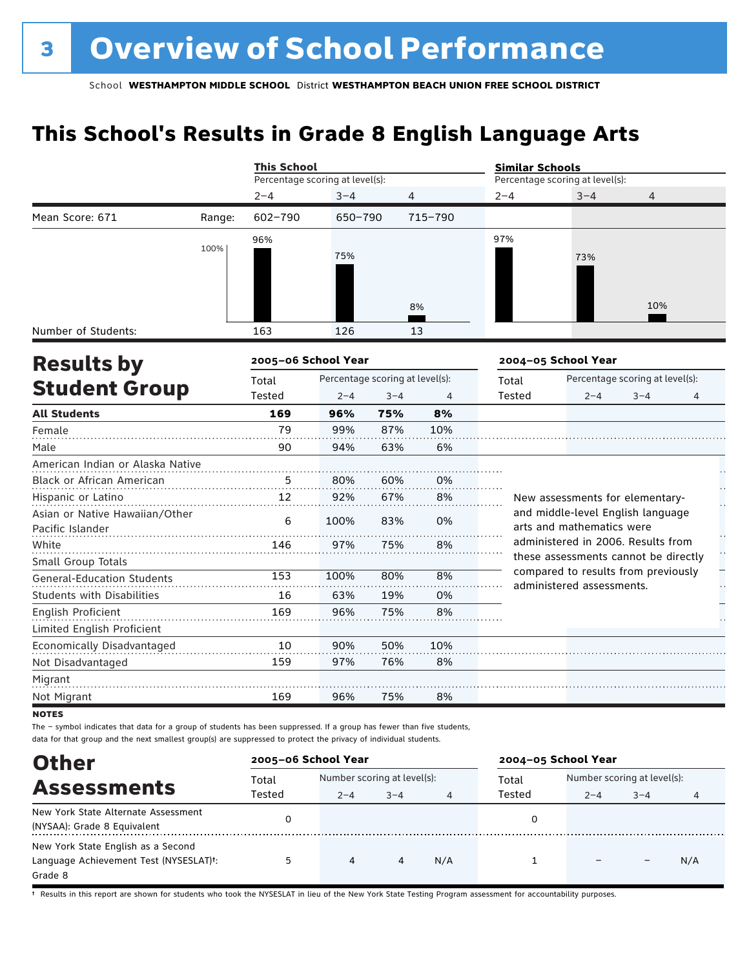# **This School's Results in Grade 8 English Language Arts**

|                                                    |        | <b>This School</b>              |         |                                 |         | <b>Similar Schools</b>                   |                                                                  |                |    |  |
|----------------------------------------------------|--------|---------------------------------|---------|---------------------------------|---------|------------------------------------------|------------------------------------------------------------------|----------------|----|--|
|                                                    |        | Percentage scoring at level(s): |         |                                 |         | Percentage scoring at level(s):          |                                                                  |                |    |  |
|                                                    |        | $2 - 4$                         | $3 - 4$ | $\overline{4}$                  |         | $2 - 4$                                  | $3 - 4$                                                          | $\overline{4}$ |    |  |
| Mean Score: 671                                    | Range: | $602 - 790$                     | 650-790 |                                 | 715-790 |                                          |                                                                  |                |    |  |
|                                                    | 100%   | 96%                             | 75%     |                                 |         | 97%                                      | 73%                                                              |                |    |  |
|                                                    |        |                                 |         |                                 | 8%      |                                          |                                                                  | 10%            |    |  |
| Number of Students:                                |        | 163                             | 126     |                                 | 13      |                                          |                                                                  |                |    |  |
| <b>Results by</b>                                  |        | 2005-06 School Year             |         |                                 |         |                                          | 2004-05 School Year                                              |                |    |  |
|                                                    |        | Total                           |         | Percentage scoring at level(s): |         | Percentage scoring at level(s):<br>Total |                                                                  |                |    |  |
| <b>Student Group</b>                               |        | Tested                          | $2 - 4$ | $3 - 4$                         | 4       | Tested                                   | $2 - 4$                                                          | $3 - 4$        | 4  |  |
| <b>All Students</b>                                |        | 169                             | 96%     | 75%                             | 8%      |                                          |                                                                  |                |    |  |
| Female                                             |        | 79                              | 99%     | 87%                             | 10%     |                                          |                                                                  |                |    |  |
| Male                                               |        | 90                              | 94%     | 63%                             | 6%      |                                          |                                                                  |                |    |  |
| American Indian or Alaska Native                   |        |                                 |         |                                 |         |                                          |                                                                  |                |    |  |
| Black or African American                          |        | 5                               | 80%     | 60%                             | 0%      |                                          |                                                                  |                |    |  |
| Hispanic or Latino                                 |        | 12                              | 92%     | 67%                             | 8%      |                                          | New assessments for elementary-                                  |                | Н, |  |
| Asian or Native Hawaiian/Other<br>Pacific Islander |        | 6                               | 100%    | 83%                             | 0%      |                                          | and middle-level English language<br>arts and mathematics were   |                |    |  |
| White                                              |        | 146                             | 97%     | 75%                             | 8%      |                                          | administered in 2006. Results from                               |                |    |  |
| Small Group Totals                                 |        |                                 |         |                                 |         |                                          | these assessments cannot be directly                             |                |    |  |
| <b>General-Education Students</b>                  |        | 153                             | 100%    | 80%                             | 8%      |                                          | compared to results from previously<br>administered assessments. |                |    |  |
| <b>Students with Disabilities</b>                  |        | 16                              | 63%     | 19%                             | 0%      |                                          |                                                                  |                |    |  |
| English Proficient                                 |        | 169                             | 96%     | 75%                             | 8%      |                                          |                                                                  |                |    |  |
| Limited English Proficient                         |        |                                 |         |                                 |         |                                          |                                                                  |                |    |  |
| Economically Disadvantaged                         |        | 10                              | 90%     | 50%                             | 10%     |                                          |                                                                  |                |    |  |
| Not Disadvantaged                                  |        | 159                             | 97%     | 76%                             | 8%      |                                          |                                                                  |                |    |  |
| Migrant                                            |        |                                 |         |                                 |         |                                          |                                                                  |                |    |  |
| Not Migrant                                        |        | 169                             | 96%     | 75%                             | 8%      |                                          |                                                                  |                |    |  |
|                                                    |        |                                 |         |                                 |         |                                          |                                                                  |                |    |  |

**NOTES** 

The – symbol indicates that data for a group of students has been suppressed. If a group has fewer than five students, data for that group and the next smallest group(s) are suppressed to protect the privacy of individual students.

| <b>Other</b>                                                                            | 2005-06 School Year |                                        |         |     | 2004-05 School Year |                                        |         |     |  |
|-----------------------------------------------------------------------------------------|---------------------|----------------------------------------|---------|-----|---------------------|----------------------------------------|---------|-----|--|
| <b>Assessments</b>                                                                      | Total<br>Tested     | Number scoring at level(s):<br>$2 - 4$ | $3 - 4$ | 4   | Total<br>Tested     | Number scoring at level(s):<br>$2 - 4$ | $3 - 4$ | 4   |  |
| New York State Alternate Assessment<br>(NYSAA): Grade 8 Equivalent                      |                     |                                        |         |     |                     |                                        |         |     |  |
| New York State English as a Second<br>Language Achievement Test (NYSESLAT)t:<br>Grade 8 | 5                   | 4                                      | 4       | N/A |                     |                                        |         | N/A |  |

† Results in this report are shown for students who took the NYSESLAT in lieu of the New York State Testing Program assessment for accountability purposes.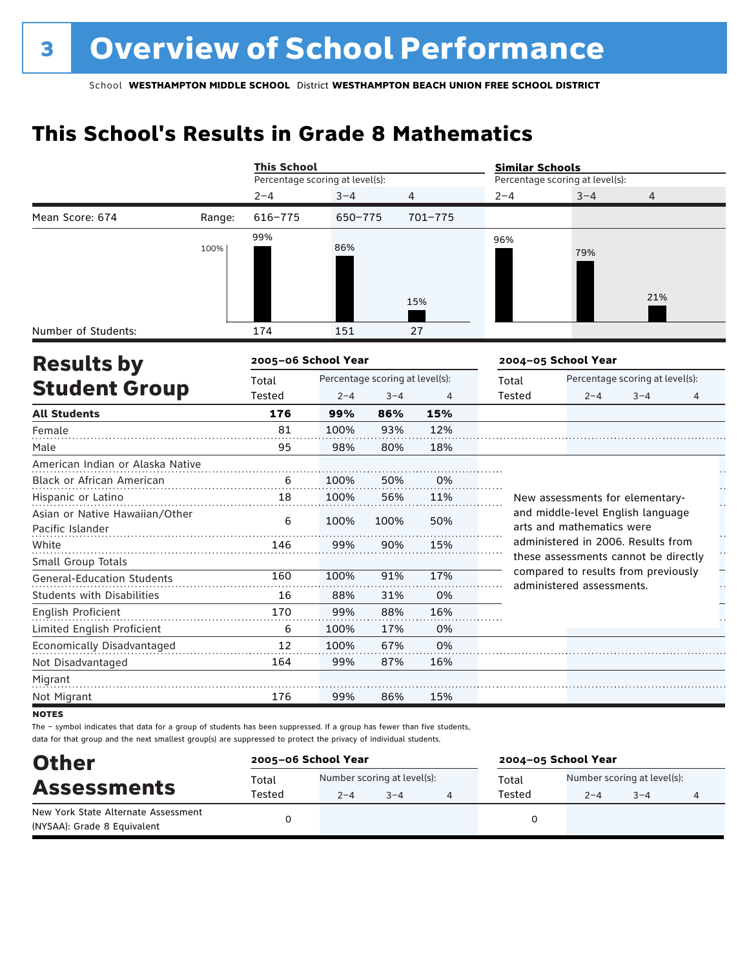# **This School's Results in Grade 8 Mathematics**

|                                   |        | <b>This School</b>              |                                 |         |         | <b>Similar Schools</b> |                                                                            |                                 |    |  |
|-----------------------------------|--------|---------------------------------|---------------------------------|---------|---------|------------------------|----------------------------------------------------------------------------|---------------------------------|----|--|
|                                   |        | Percentage scoring at level(s): |                                 |         |         |                        | Percentage scoring at level(s):                                            |                                 |    |  |
|                                   |        | $2 - 4$                         | $3 - 4$                         |         | 4       | $2 - 4$                | $3 - 4$                                                                    | 4                               |    |  |
| Mean Score: 674                   | Range: | $616 - 775$                     | 650-775                         |         | 701-775 |                        |                                                                            |                                 |    |  |
|                                   |        | 99%                             |                                 |         |         | 96%                    |                                                                            |                                 |    |  |
|                                   | 100%   |                                 | 86%                             |         |         |                        | 79%                                                                        |                                 |    |  |
|                                   |        |                                 |                                 |         |         |                        |                                                                            |                                 |    |  |
|                                   |        |                                 |                                 |         |         |                        |                                                                            | 21%                             |    |  |
|                                   |        |                                 |                                 |         | 15%     |                        |                                                                            |                                 |    |  |
| Number of Students:               |        | 174                             | 151                             |         | 27      |                        |                                                                            |                                 |    |  |
|                                   |        | 2005-06 School Year             |                                 |         |         |                        | 2004-05 School Year                                                        |                                 |    |  |
| <b>Results by</b>                 |        | Total                           | Percentage scoring at level(s): |         |         | Total                  |                                                                            | Percentage scoring at level(s): |    |  |
| <b>Student Group</b>              |        | Tested                          | $2 - 4$                         | $3 - 4$ | 4       | Tested                 | $2 - 4$                                                                    | $3 - 4$                         | 4  |  |
| <b>All Students</b>               |        | 176                             | 99%                             | 86%     | 15%     |                        |                                                                            |                                 |    |  |
| Female                            |        | 81                              | 100%                            | 93%     | 12%     |                        |                                                                            |                                 |    |  |
| Male                              |        | 95                              | 98%                             | 80%     | 18%     |                        |                                                                            |                                 |    |  |
| American Indian or Alaska Native  |        |                                 |                                 |         |         |                        |                                                                            |                                 |    |  |
| <b>Black or African American</b>  |        | 6                               | 100%                            | 50%     | 0%      |                        |                                                                            |                                 |    |  |
| Hispanic or Latino                |        | 18                              | 100%                            | 56%     | 11%     |                        | New assessments for elementary-                                            |                                 |    |  |
| Asian or Native Hawaiian/Other    |        | 6                               | 100%                            | 100%    | 50%     |                        | and middle-level English language                                          |                                 |    |  |
| Pacific Islander                  |        |                                 |                                 |         |         |                        | arts and mathematics were                                                  |                                 |    |  |
| White                             |        | 146                             | 99%                             | 90%     | 15%     |                        | administered in 2006. Results from<br>these assessments cannot be directly |                                 | ŕ, |  |
| Small Group Totals                |        |                                 |                                 |         |         |                        | compared to results from previously                                        |                                 |    |  |
| <b>General-Education Students</b> |        | 160                             | 100%                            | 91%     | 17%     |                        | administered assessments.                                                  |                                 | ŗ, |  |
| <b>Students with Disabilities</b> |        | 16                              | 88%                             | 31%     | 0%      |                        |                                                                            |                                 |    |  |
| English Proficient                |        | 170                             | 99%                             | 88%     | 16%     |                        |                                                                            |                                 |    |  |
| Limited English Proficient        |        | 6                               | 100%                            | 17%     | 0%      |                        |                                                                            |                                 |    |  |
| Economically Disadvantaged        |        | 12                              | 100%                            | 67%     | 0%      |                        |                                                                            |                                 |    |  |
| Not Disadvantaged                 |        | 164                             | 99%                             | 87%     | 16%     |                        |                                                                            |                                 |    |  |
| Migrant                           |        |                                 |                                 |         |         |                        |                                                                            |                                 |    |  |
| Not Migrant                       |        | 176                             | 99%                             | 86%     | 15%     |                        |                                                                            |                                 |    |  |

**NOTES** 

The – symbol indicates that data for a group of students has been suppressed. If a group has fewer than five students, data for that group and the next smallest group(s) are suppressed to protect the privacy of individual students.

| <b>Other</b>                                                       | 2005-06 School Year |                                        |         | 2004-05 School Year |                                        |         |  |  |  |
|--------------------------------------------------------------------|---------------------|----------------------------------------|---------|---------------------|----------------------------------------|---------|--|--|--|
| <b>Assessments</b>                                                 | Total<br>Tested     | Number scoring at level(s):<br>$2 - 4$ | $3 - 4$ | Total<br>Tested     | Number scoring at level(s):<br>$2 - 4$ | $3 - 4$ |  |  |  |
| New York State Alternate Assessment<br>(NYSAA): Grade 8 Equivalent |                     |                                        |         |                     |                                        |         |  |  |  |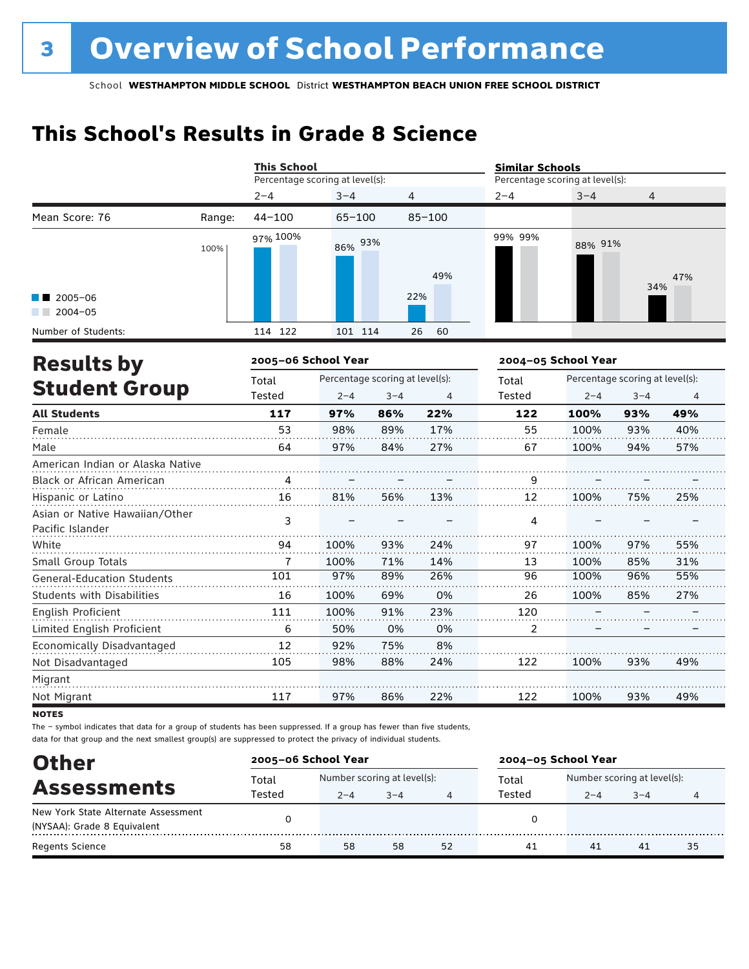# **This School's Results in Grade 8 Science**

|                                                    |        | <b>This School</b>              |            |                                 |                | <b>Similar Schools</b> |                                 |                                 |     |  |
|----------------------------------------------------|--------|---------------------------------|------------|---------------------------------|----------------|------------------------|---------------------------------|---------------------------------|-----|--|
|                                                    |        | Percentage scoring at level(s): |            |                                 |                |                        | Percentage scoring at level(s): |                                 |     |  |
|                                                    |        | $2 - 4$                         | $3 - 4$    | 4                               |                | $2 - 4$                | $3 - 4$                         | 4                               |     |  |
| Mean Score: 76                                     | Range: | $44 - 100$                      | $65 - 100$ |                                 | $85 - 100$     |                        |                                 |                                 |     |  |
|                                                    | 100%   | 97% 100%                        | 86% 93%    |                                 | 49%            | 99% 99%                | 88% 91%                         | 34%                             | 47% |  |
| $2005 - 06$<br>$2004 - 05$                         |        |                                 |            |                                 | 22%            |                        |                                 |                                 |     |  |
| Number of Students:                                |        | 114 122                         | 101 114    |                                 | 26<br>60       |                        |                                 |                                 |     |  |
| <b>Results by</b>                                  |        | 2005-06 School Year             |            |                                 |                |                        | 2004-05 School Year             |                                 |     |  |
|                                                    |        | Total                           |            | Percentage scoring at level(s): |                | Total                  |                                 | Percentage scoring at level(s): |     |  |
| <b>Student Group</b>                               |        | Tested                          | $2 - 4$    | $3 - 4$                         | $\overline{4}$ | Tested                 | $2 - 4$                         | $3 - 4$                         | 4   |  |
| <b>All Students</b>                                |        | 117                             | 97%        | 86%                             | 22%            | 122                    | 100%                            | 93%                             | 49% |  |
| Female                                             |        | 53                              | 98%        | 89%                             | 17%            | 55                     | 100%                            | 93%                             | 40% |  |
| Male                                               |        | 64                              | 97%        | 84%                             | 27%            | 67                     | 100%                            | 94%                             | 57% |  |
| American Indian or Alaska Native                   |        |                                 |            |                                 |                |                        |                                 |                                 |     |  |
| Black or African American                          |        | 4                               |            |                                 |                | 9                      |                                 |                                 |     |  |
| Hispanic or Latino                                 |        | 16                              | 81%        | 56%                             | 13%            | 12                     | 100%                            | 75%                             | 25% |  |
| Asian or Native Hawaiian/Other<br>Pacific Islander |        | 3                               |            |                                 |                | 4                      |                                 |                                 |     |  |
| White                                              |        | 94                              | 100%       | 93%                             | 24%            | 97                     | 100%                            | 97%                             | 55% |  |
| Small Group Totals                                 |        | $\overline{1}$                  | 100%       | 71%                             | 14%            | 13                     | 100%                            | 85%                             | 31% |  |
| <b>General-Education Students</b>                  |        | 101                             | 97%        | 89%                             | 26%            | 96                     | 100%                            | 96%                             | 55% |  |
| <b>Students with Disabilities</b>                  |        | 16                              | 100%       | 69%                             | 0%             | 26                     | 100%                            | 85%                             | 27% |  |
| English Proficient                                 |        | 111                             | 100%       | 91%                             | 23%            | 120                    |                                 |                                 |     |  |
| Limited English Proficient                         |        | 6                               | 50%        | 0%                              | 0%             | 2                      |                                 |                                 |     |  |
| Economically Disadvantaged                         |        | 12                              | 92%        | 75%                             | 8%             |                        |                                 |                                 |     |  |
| Not Disadvantaged                                  |        | 105                             | 98%        | 88%                             | 24%            | 122                    | 100%                            | 93%                             | 49% |  |
| Migrant                                            |        |                                 |            |                                 |                |                        |                                 |                                 |     |  |
| Not Migrant                                        |        | 117                             | 97%        | 86%                             | 22%            | 122                    | 100%                            | 93%                             | 49% |  |

**NOTES** 

The – symbol indicates that data for a group of students has been suppressed. If a group has fewer than five students, data for that group and the next smallest group(s) are suppressed to protect the privacy of individual students.

| <b>Other</b>                        | 2005-06 School Year |         |                             |    |        | 2004-05 School Year         |         |    |  |  |
|-------------------------------------|---------------------|---------|-----------------------------|----|--------|-----------------------------|---------|----|--|--|
| <b>Assessments</b>                  | Total               |         | Number scoring at level(s): |    |        | Number scoring at level(s): |         |    |  |  |
|                                     | Tested              | $2 - 4$ | $3 - 4$                     | 4  | Tested | $2 - 4$                     | $3 - 4$ | 4  |  |  |
| New York State Alternate Assessment |                     |         |                             |    |        |                             |         |    |  |  |
| (NYSAA): Grade 8 Equivalent         |                     |         |                             |    |        |                             |         |    |  |  |
| Regents Science                     | 58                  | 58      | 58                          | 52 | 41     | 41                          | 41      | 35 |  |  |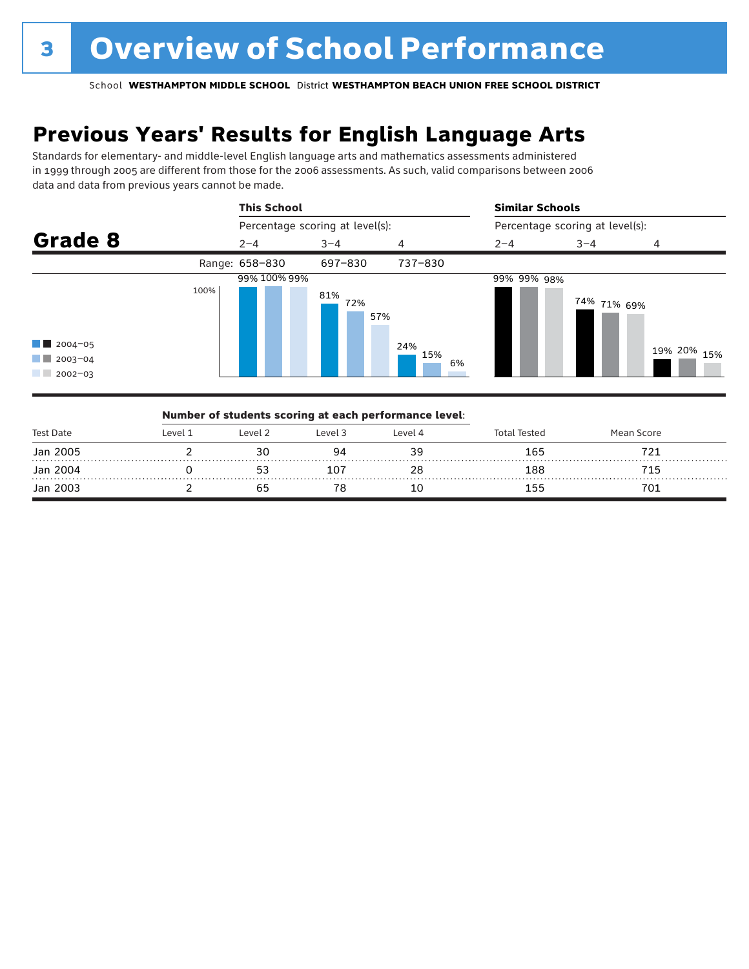# **Previous Years' Results for English Language Arts**

Standards for elementary- and middle-level English language arts and mathematics assessments administered in 1999 through 2005 are different from those for the 2006 assessments. As such, valid comparisons between 2006 data and data from previous years cannot be made.



|           |          |         | Number of students scoring at each performance level: |         |                     |            |  |
|-----------|----------|---------|-------------------------------------------------------|---------|---------------------|------------|--|
| Test Date | l evel 1 | Level 2 | Level 3                                               | Level 4 | <b>Total Tested</b> | Mean Score |  |
| Jan 2005  |          |         |                                                       |         | 165                 |            |  |
| Jan 2004  |          |         | 107                                                   | 28      | 188                 | 715        |  |
| Jan 2003  |          |         |                                                       |         | יט ו                | 701        |  |